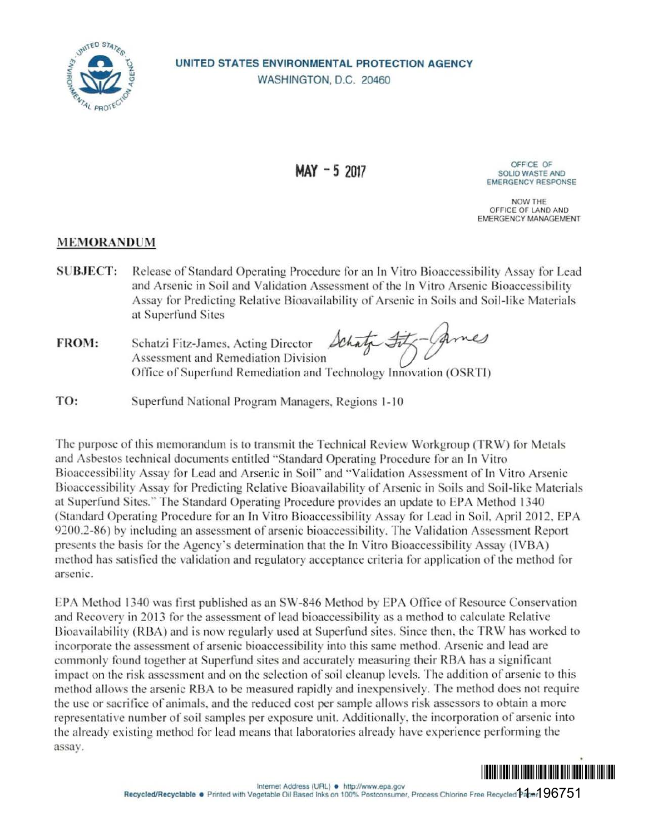

## **UNITED STATES ENVIRONMENTAL PROTECTION AGENCY**  WASHINGTON, D.C. 20460

OFFICE OF **MAY - 5 2017** SOLID WASTE ANO **EMERGENCY RESPONSE** 

> **NOW THE**  OFFICE **OF LANO AND EMERGENCY MANAGEMENT**

## **MEMORA DUM**

**SUBJECT:** Release of Standard Operating Procedure for an In Vitro Bioaccessibility Assay for Lead and Arsenic in Soil and Validation Assessment of the In Vitro Arsenic Bioaccessibility Assay for Predicting Relative Bioavailability of Arsenic in Soils and Soil-like Materials at Superfund Sites and Arsenic in Soil and Valuation Assessment of the In Vitro Arsenic<br>Assay for Predicting Relative Bioavailability of Arsenic in Soils and So<br>at Superfund Sites<br>FROM: Schatzi Fitz-James, Acting Director Lehaty Sty. Arnes<br>A

Schatzi Fitz-James, Acting Director  $\Omega$ Chalged Assessment and Remediation Division Office of Superfund Remediation and Technology Innovation (OSRTI)

**TO:** Superfund National Program Managers, Regions 1-10

The purpose of this memorandum is to transmit the Technical Review Workgroup (TRW) for Metals and Asbestos technical documents entitled "Standard Operating Procedure for an In Vitro Bioaccessibility Assay for Lead and Arsenic in Soil" and "Validation Assessment of In Vitro Arsenic Bioaccessibility Assay for Predicting Relative Bioavailability of Arsenic in Soils and Soil-like Materials at Superfund Sites." The Standard Operating Procedure provides an update to EPA Method 1340 (Standard Operating Procedure for an In Vitro Bioaccessibility Assay for Lead in Soil, April 2012, EPA 9200.2-86) by including an assessment of arsenic bioaccessibility. The Validation Assessment Report presents the basis for the Agency's determination that the In Vitro Bioaccessibility Assay (IVBA) method has satisfied the validation and regulatory acceptance criteria for application of the method for arsenic.

EPA Method 1340 was first published as an SW-846 Method by EPA Office of Resource Conservation and Recovery in 2013 for the assessment of lead bioaccessibility as a method to calculate Relative Bioavailability (RBA) and is now regularly used at Superfund sites. Since then, the TRW has worked to incorporate the assessment of arsenic bioaccessibility into this same method. Arsenic and lead arc commonly found together at Superfund sites and accurately measuring their RBA has a significant impact on the risk assessment and on the selection of soil cleanup levels. The addition of arsenic to this method allows the arsenic RBA to be measured rapidly and inexpensively. The method does not require the use or sacrifice of animals, and the reduced cost per sample allows risk assessors to obtain a more representative number of soil samples per exposure unit. Additionally, the incorporation of arsenic into the already existing method for lead means that laboratories already have experience performing the assay.

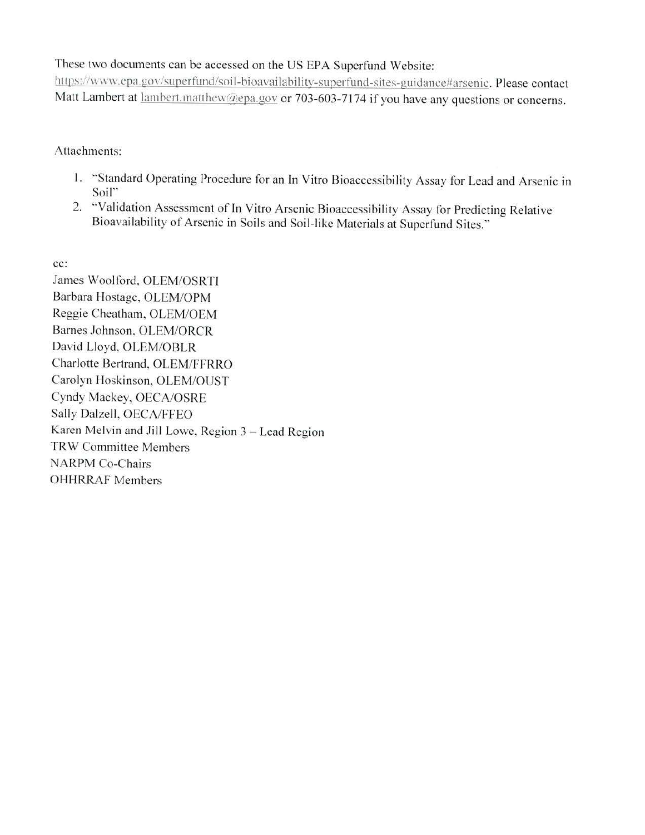These two documents can be accessed on the US EPA Superfund Website:

https://www.cpn.gov/superfund/soil-bioavailability-superfund-sites-guidance#arsenic. Please contact Matt Lambert at lambert.matthew@epa.gov or 703-603-7174 if you have any questions or concerns.

Attachments:

- 1. "Standard Operating Procedure for an In Vitro Bioaccessibility Assay for Lead and Arsenic in Soil"
- 2. "Validation Assessment of In Vitro Arsenic Bioaccessibility Assay for Predicting Relative Bioavailability of Arsenic in Soils and Soil-like Materials at Superfund Sites."

**cc:** 

James Woolford, OLEM/OSRTI Barbara Hostage, OLEM/OPM Reggie Cheatham, OLEM/OEM Barnes Johnson, OLEM/ORCR David Lloyd, OLEM/OBLR Charlotte Bertrand, OLEM/FFRRO Carolyn Hoskinson, OLEM/OUST Cyndy Mackey, OECA/OSRE Sally Dalzell, OECA/FFEO Karen Melvin and Jill Lowe, Region 3 - Lead Region TRW Committee Members NARPM Co-Chairs OHHRRAF Members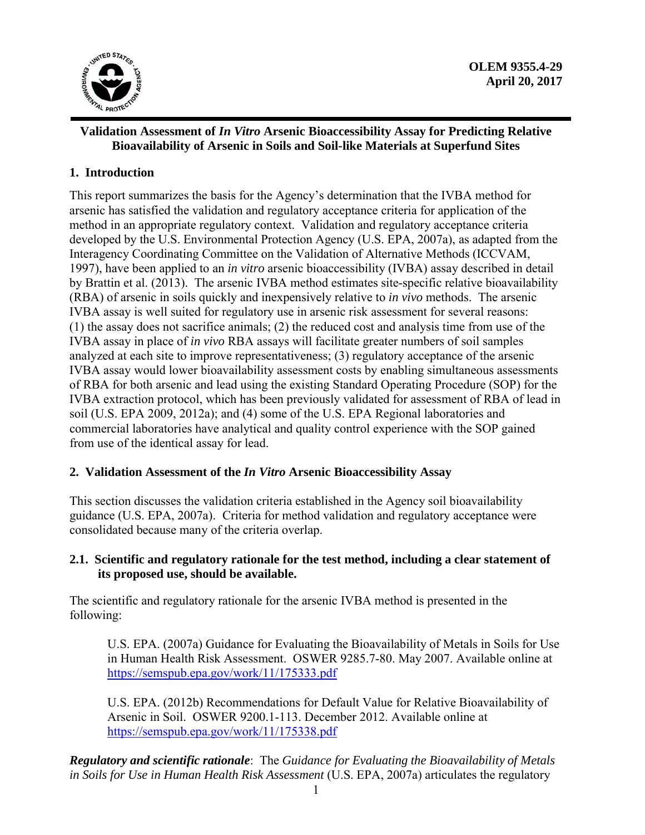

## **Validation Assessment of** *In Vitro* **Arsenic Bioaccessibility Assay for Predicting Relative Bioavailability of Arsenic in Soils and Soil-like Materials at Superfund Sites**

# **1. Introduction**

This report summarizes the basis for the Agency's determination that the IVBA method for arsenic has satisfied the validation and regulatory acceptance criteria for application of the method in an appropriate regulatory context. Validation and regulatory acceptance criteria developed by the U.S. Environmental Protection Agency (U.S. EPA, 2007a), as adapted from the Interagency Coordinating Committee on the Validation of Alternative Methods (ICCVAM, 1997), have been applied to an *in vitro* arsenic bioaccessibility (IVBA) assay described in detail by Brattin et al. (2013). The arsenic IVBA method estimates site-specific relative bioavailability (RBA) of arsenic in soils quickly and inexpensively relative to *in vivo* methods. The arsenic IVBA assay is well suited for regulatory use in arsenic risk assessment for several reasons: (1) the assay does not sacrifice animals; (2) the reduced cost and analysis time from use of the IVBA assay in place of *in vivo* RBA assays will facilitate greater numbers of soil samples analyzed at each site to improve representativeness; (3) regulatory acceptance of the arsenic IVBA assay would lower bioavailability assessment costs by enabling simultaneous assessments of RBA for both arsenic and lead using the existing Standard Operating Procedure (SOP) for the IVBA extraction protocol, which has been previously validated for assessment of RBA of lead in soil (U.S. EPA 2009, 2012a); and (4) some of the U.S. EPA Regional laboratories and commercial laboratories have analytical and quality control experience with the SOP gained from use of the identical assay for lead.

## **2. Validation Assessment of the** *In Vitro* **Arsenic Bioaccessibility Assay**

This section discusses the validation criteria established in the Agency soil bioavailability guidance (U.S. EPA, 2007a). Criteria for method validation and regulatory acceptance were consolidated because many of the criteria overlap.

## **2.1. Scientific and regulatory rationale for the test method, including a clear statement of its proposed use, should be available.**

The scientific and regulatory rationale for the arsenic IVBA method is presented in the following:

U.S. EPA. (2007a) Guidance for Evaluating the Bioavailability of Metals in Soils for Use in Human Health Risk Assessment. OSWER 9285.7-80. May 2007. Available online at https://semspub.epa.gov/work/11/175333.pdf

U.S. EPA. (2012b) Recommendations for Default Value for Relative Bioavailability of Arsenic in Soil. OSWER 9200.1-113. December 2012. Available online at https://semspub.epa.gov/work/11/175338.pdf

 *Regulatory and scientific rationale*: The *Guidance for Evaluating the Bioavailability of Metals in Soils for Use in Human Health Risk Assessment* (U.S. EPA, 2007a) articulates the regulatory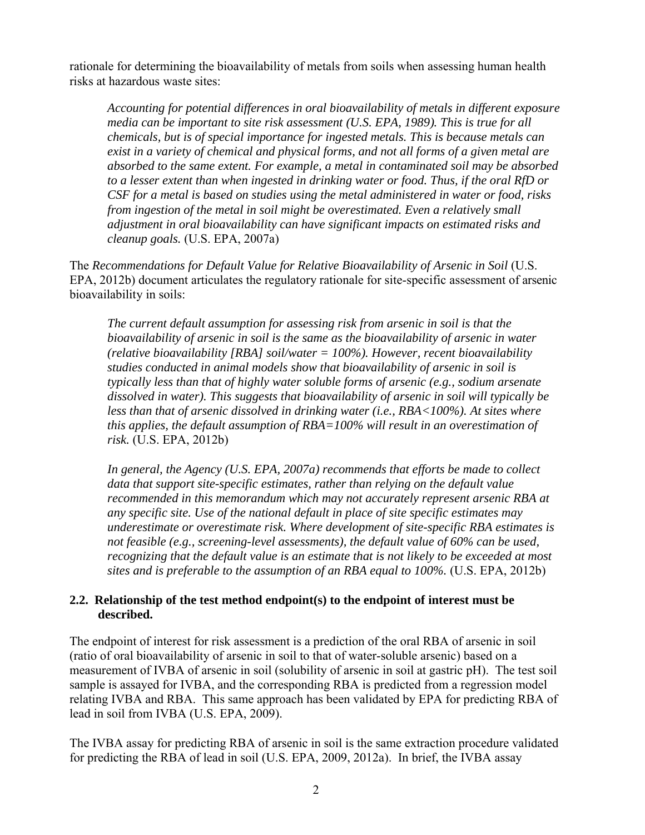rationale for determining the bioavailability of metals from soils when assessing human health risks at hazardous waste sites:

*Accounting for potential differences in oral bioavailability of metals in different exposure media can be important to site risk assessment (U.S. EPA, 1989). This is true for all chemicals, but is of special importance for ingested metals. This is because metals can exist in a variety of chemical and physical forms, and not all forms of a given metal are absorbed to the same extent. For example, a metal in contaminated soil may be absorbed to a lesser extent than when ingested in drinking water or food. Thus, if the oral RfD or CSF for a metal is based on studies using the metal administered in water or food, risks from ingestion of the metal in soil might be overestimated. Even a relatively small adjustment in oral bioavailability can have significant impacts on estimated risks and cleanup goals.* (U.S. EPA, 2007a)

The *Recommendations for Default Value for Relative Bioavailability of Arsenic in Soil* (U.S. EPA, 2012b) document articulates the regulatory rationale for site-specific assessment of arsenic bioavailability in soils:

*The current default assumption for assessing risk from arsenic in soil is that the bioavailability of arsenic in soil is the same as the bioavailability of arsenic in water (relative bioavailability [RBA] soil/water = 100%). However, recent bioavailability studies conducted in animal models show that bioavailability of arsenic in soil is typically less than that of highly water soluble forms of arsenic (e.g., sodium arsenate dissolved in water). This suggests that bioavailability of arsenic in soil will typically be less than that of arsenic dissolved in drinking water (i.e., RBA<100%). At sites where this applies, the default assumption of RBA=100% will result in an overestimation of risk.* (U.S. EPA, 2012b)

*In general, the Agency (U.S. EPA, 2007a) recommends that efforts be made to collect data that support site-specific estimates, rather than relying on the default value recommended in this memorandum which may not accurately represent arsenic RBA at any specific site. Use of the national default in place of site specific estimates may underestimate or overestimate risk. Where development of site-specific RBA estimates is not feasible (e.g., screening-level assessments), the default value of 60% can be used, recognizing that the default value is an estimate that is not likely to be exceeded at most sites and is preferable to the assumption of an RBA equal to 100%.* (U.S. EPA, 2012b)

#### **2.2. Relationship of the test method endpoint(s) to the endpoint of interest must be described.**

The endpoint of interest for risk assessment is a prediction of the oral RBA of arsenic in soil (ratio of oral bioavailability of arsenic in soil to that of water-soluble arsenic) based on a measurement of IVBA of arsenic in soil (solubility of arsenic in soil at gastric pH). The test soil sample is assayed for IVBA, and the corresponding RBA is predicted from a regression model relating IVBA and RBA. This same approach has been validated by EPA for predicting RBA of lead in soil from IVBA (U.S. EPA, 2009).

The IVBA assay for predicting RBA of arsenic in soil is the same extraction procedure validated for predicting the RBA of lead in soil (U.S. EPA, 2009, 2012a). In brief, the IVBA assay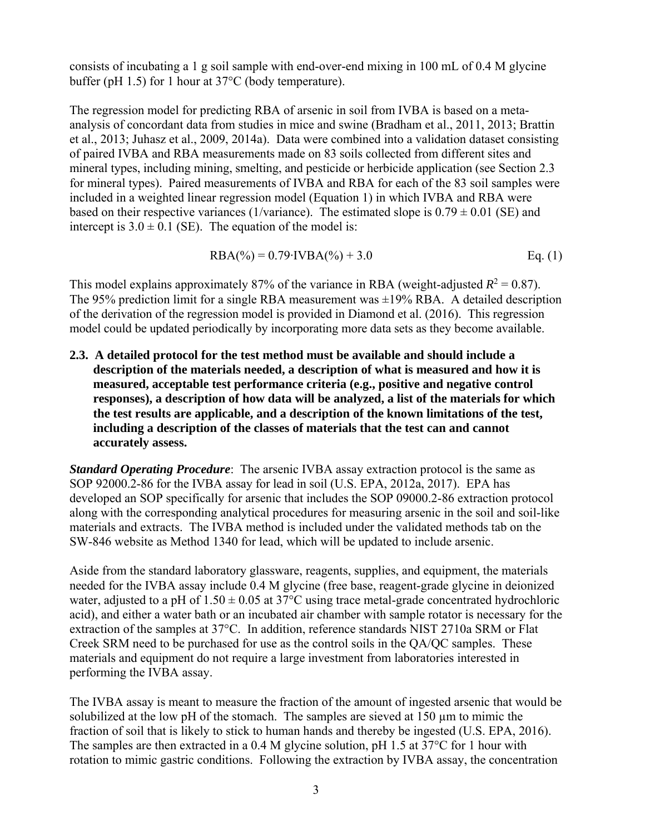consists of incubating a 1 g soil sample with end-over-end mixing in 100 mL of 0.4 M glycine buffer (pH 1.5) for 1 hour at 37°C (body temperature).

The regression model for predicting RBA of arsenic in soil from IVBA is based on a metaanalysis of concordant data from studies in mice and swine (Bradham et al., 2011, 2013; Brattin et al., 2013; Juhasz et al., 2009, 2014a). Data were combined into a validation dataset consisting of paired IVBA and RBA measurements made on 83 soils collected from different sites and mineral types, including mining, smelting, and pesticide or herbicide application (see Section 2.3 for mineral types). Paired measurements of IVBA and RBA for each of the 83 soil samples were included in a weighted linear regression model (Equation 1) in which IVBA and RBA were based on their respective variances (1/variance). The estimated slope is  $0.79 \pm 0.01$  (SE) and intercept is  $3.0 \pm 0.1$  (SE). The equation of the model is:

$$
RBA(\%) = 0.79 \cdot IVBA(\%) + 3.0
$$
 Eq. (1)

This model explains approximately 87% of the variance in RBA (weight-adjusted  $R^2 = 0.87$ ). The 95% prediction limit for a single RBA measurement was  $\pm$ 19% RBA. A detailed description of the derivation of the regression model is provided in Diamond et al. (2016). This regression model could be updated periodically by incorporating more data sets as they become available.

 **description of the materials needed, a description of what is measured and how it is 2.3. A detailed protocol for the test method must be available and should include a measured, acceptable test performance criteria (e.g., positive and negative control responses), a description of how data will be analyzed, a list of the materials for which the test results are applicable, and a description of the known limitations of the test, including a description of the classes of materials that the test can and cannot accurately assess.** 

*Standard Operating Procedure:* The arsenic IVBA assay extraction protocol is the same as SOP 92000.2-86 for the IVBA assay for lead in soil (U.S. EPA, 2012a, 2017). EPA has developed an SOP specifically for arsenic that includes the SOP 09000.2-86 extraction protocol along with the corresponding analytical procedures for measuring arsenic in the soil and soil-like materials and extracts. The IVBA method is included under the validated methods tab on the SW-846 website as Method 1340 for lead, which will be updated to include arsenic.

Aside from the standard laboratory glassware, reagents, supplies, and equipment, the materials needed for the IVBA assay include 0.4 M glycine (free base, reagent-grade glycine in deionized water, adjusted to a pH of  $1.50 \pm 0.05$  at 37 $\degree$ C using trace metal-grade concentrated hydrochloric acid), and either a water bath or an incubated air chamber with sample rotator is necessary for the extraction of the samples at 37°C. In addition, reference standards NIST 2710a SRM or Flat Creek SRM need to be purchased for use as the control soils in the QA/QC samples. These materials and equipment do not require a large investment from laboratories interested in performing the IVBA assay.

The IVBA assay is meant to measure the fraction of the amount of ingested arsenic that would be solubilized at the low pH of the stomach. The samples are sieved at  $150 \mu m$  to mimic the fraction of soil that is likely to stick to human hands and thereby be ingested (U.S. EPA, 2016). The samples are then extracted in a 0.4 M glycine solution, pH 1.5 at 37°C for 1 hour with rotation to mimic gastric conditions. Following the extraction by IVBA assay, the concentration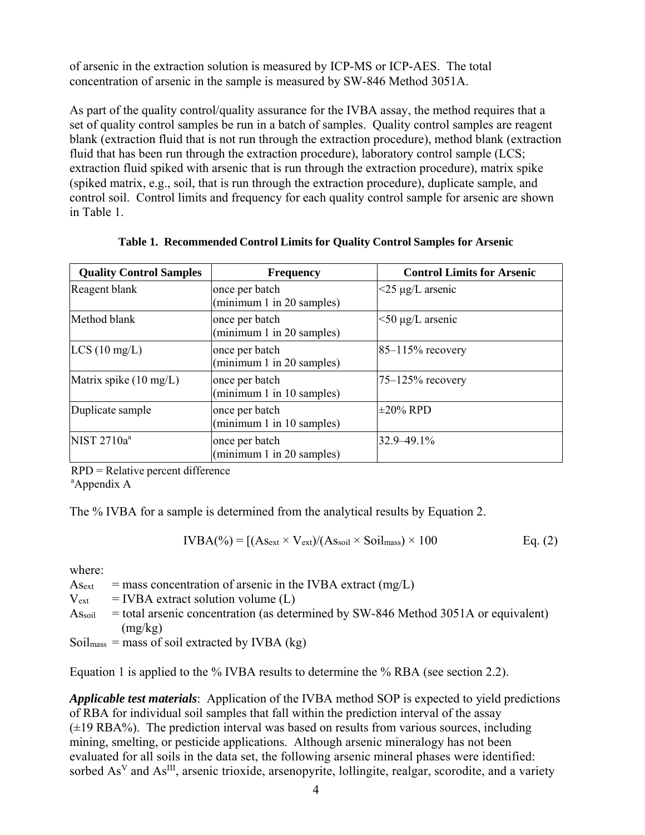of arsenic in the extraction solution is measured by ICP-MS or ICP-AES. The total concentration of arsenic in the sample is measured by SW-846 Method 3051A.

As part of the quality control/quality assurance for the IVBA assay, the method requires that a set of quality control samples be run in a batch of samples. Quality control samples are reagent blank (extraction fluid that is not run through the extraction procedure), method blank (extraction fluid that has been run through the extraction procedure), laboratory control sample (LCS; extraction fluid spiked with arsenic that is run through the extraction procedure), matrix spike (spiked matrix, e.g., soil, that is run through the extraction procedure), duplicate sample, and control soil. Control limits and frequency for each quality control sample for arsenic are shown in Table 1.

| <b>Quality Control Samples</b>   | <b>Frequency</b>                            | <b>Control Limits for Arsenic</b>    |
|----------------------------------|---------------------------------------------|--------------------------------------|
| Reagent blank                    | once per batch<br>(minimum 1 in 20 samples) | $\langle 25 \mu g/L \rangle$ arsenic |
| Method blank                     | once per batch<br>(minimum 1 in 20 samples) | $<$ 50 µg/L arsenic                  |
| LCS(10 mg/L)                     | once per batch<br>(minimum 1 in 20 samples) | $85 - 115%$ recovery                 |
| Matrix spike $(10 \text{ mg/L})$ | once per batch<br>(minimum 1 in 10 samples) | $75 - 125\%$ recovery                |
| Duplicate sample                 | once per batch<br>(minimum 1 in 10 samples) | $\pm 20\%$ RPD                       |
| NIST 2710a <sup>a</sup>          | once per batch<br>(minimum 1 in 20 samples) | $32.9 - 49.1\%$                      |

**Table 1. Recommended Control Limits for Quality Control Samples for Arsenic** 

RPD = Relative percent difference

a Appendix A

The % IVBA for a sample is determined from the analytical results by Equation 2.

$$
IVBA(*) = [(As_{ext} \times V_{ext})/(As_{soil} \times Soil_{mass}) \times 100
$$
 Eq. (2)

where:

 $\text{A}_{\text{Sext}}$  = mass concentration of arsenic in the IVBA extract (mg/L)

 $V_{\rm ext}$  $=$  IVBA extract solution volume  $(L)$ 

- $\mathrm{As}$ <sub>soil</sub> = total arsenic concentration (as determined by SW-846 Method 3051A or equivalent) (mg/kg)
- Soil<sub>mass</sub> = mass of soil extracted by IVBA (kg)

Equation 1 is applied to the % IVBA results to determine the % RBA (see section 2.2).

 *Applicable test materials*: Application of the IVBA method SOP is expected to yield predictions of RBA for individual soil samples that fall within the prediction interval of the assay  $(\pm 19 \text{ RBA\%})$ . The prediction interval was based on results from various sources, including mining, smelting, or pesticide applications. Although arsenic mineralogy has not been evaluated for all soils in the data set, the following arsenic mineral phases were identified: sorbed As<sup>V</sup> and As<sup>III</sup>, arsenic trioxide, arsenopyrite, lollingite, realgar, scorodite, and a variety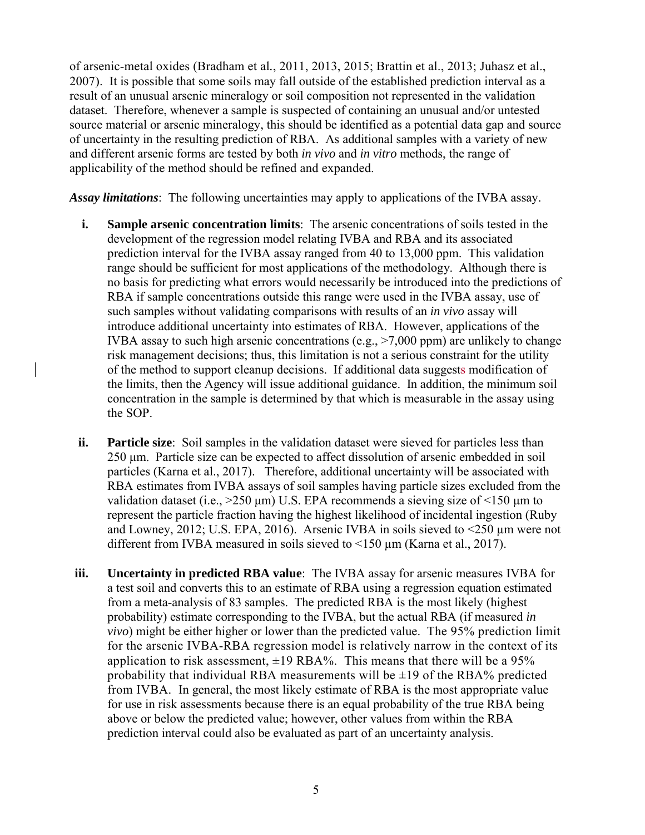applicability of the method should be refined and expanded. of arsenic-metal oxides (Bradham et al*.*, 2011, 2013, 2015; Brattin et al., 2013; Juhasz et al., 2007). It is possible that some soils may fall outside of the established prediction interval as a result of an unusual arsenic mineralogy or soil composition not represented in the validation dataset. Therefore, whenever a sample is suspected of containing an unusual and/or untested source material or arsenic mineralogy, this should be identified as a potential data gap and source of uncertainty in the resulting prediction of RBA. As additional samples with a variety of new and different arsenic forms are tested by both *in vivo* and *in vitro* methods, the range of

*Assay limitations*: The following uncertainties may apply to applications of the IVBA assay.

- **i.** Sample arsenic concentration limits: The arsenic concentrations of soils tested in the development of the regression model relating IVBA and RBA and its associated prediction interval for the IVBA assay ranged from 40 to 13,000 ppm. This validation range should be sufficient for most applications of the methodology. Although there is no basis for predicting what errors would necessarily be introduced into the predictions of RBA if sample concentrations outside this range were used in the IVBA assay, use of such samples without validating comparisons with results of an *in vivo* assay will introduce additional uncertainty into estimates of RBA. However, applications of the IVBA assay to such high arsenic concentrations (e.g.,  $>7,000$  ppm) are unlikely to change risk management decisions; thus, this limitation is not a serious constraint for the utility of the method to support cleanup decisions. If additional data suggests modification of the limits, then the Agency will issue additional guidance. In addition, the minimum soil concentration in the sample is determined by that which is measurable in the assay using the SOP.
- **ii. Particle size**: Soil samples in the validation dataset were sieved for particles less than 250 μm. Particle size can be expected to affect dissolution of arsenic embedded in soil particles (Karna et al., 2017). Therefore, additional uncertainty will be associated with RBA estimates from IVBA assays of soil samples having particle sizes excluded from the validation dataset (i.e.,  $>250 \mu m$ ) U.S. EPA recommends a sieving size of  $\leq 150 \mu m$  to represent the particle fraction having the highest likelihood of incidental ingestion (Ruby and Lowney, 2012; U.S. EPA, 2016). Arsenic IVBA in soils sieved to  $\leq$  250 µm were not different from IVBA measured in soils sieved to  $\leq$ 150  $\mu$ m (Karna et al., 2017).
- a test soil and converts this to an estimate of RBA using a regression equation estimated *vivo*) might be either higher or lower than the predicted value. The 95% prediction limit from IVBA. In general, the most likely estimate of RBA is the most appropriate value **iii. Uncertainty in predicted RBA value**: The IVBA assay for arsenic measures IVBA for from a meta-analysis of 83 samples. The predicted RBA is the most likely (highest probability) estimate corresponding to the IVBA, but the actual RBA (if measured *in*  for the arsenic IVBA-RBA regression model is relatively narrow in the context of its application to risk assessment,  $\pm 19$  RBA%. This means that there will be a 95% probability that individual RBA measurements will be  $\pm 19$  of the RBA% predicted for use in risk assessments because there is an equal probability of the true RBA being above or below the predicted value; however, other values from within the RBA prediction interval could also be evaluated as part of an uncertainty analysis.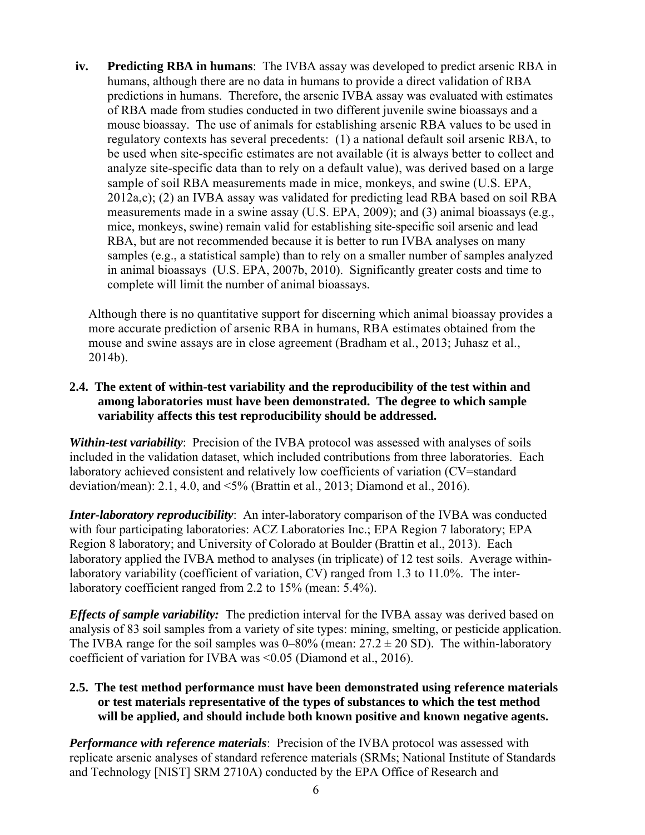**iv. Predicting RBA in humans**: The IVBA assay was developed to predict arsenic RBA in humans, although there are no data in humans to provide a direct validation of RBA predictions in humans. Therefore, the arsenic IVBA assay was evaluated with estimates of RBA made from studies conducted in two different juvenile swine bioassays and a mouse bioassay. The use of animals for establishing arsenic RBA values to be used in regulatory contexts has several precedents: (1) a national default soil arsenic RBA, to be used when site-specific estimates are not available (it is always better to collect and analyze site-specific data than to rely on a default value), was derived based on a large sample of soil RBA measurements made in mice, monkeys, and swine (U.S. EPA, 2012a,c); (2) an IVBA assay was validated for predicting lead RBA based on soil RBA measurements made in a swine assay (U.S. EPA, 2009); and (3) animal bioassays (e.g., mice, monkeys, swine) remain valid for establishing site-specific soil arsenic and lead RBA, but are not recommended because it is better to run IVBA analyses on many samples (e.g., a statistical sample) than to rely on a smaller number of samples analyzed in animal bioassays (U.S. EPA, 2007b, 2010). Significantly greater costs and time to complete will limit the number of animal bioassays.

Although there is no quantitative support for discerning which animal bioassay provides a more accurate prediction of arsenic RBA in humans, RBA estimates obtained from the mouse and swine assays are in close agreement (Bradham et al., 2013; Juhasz et al., 2014b).

## **2.4. The extent of within-test variability and the reproducibility of the test within and among laboratories must have been demonstrated. The degree to which sample variability affects this test reproducibility should be addressed.**

Within-test variability: Precision of the IVBA protocol was assessed with analyses of soils included in the validation dataset, which included contributions from three laboratories. Each laboratory achieved consistent and relatively low coefficients of variation (CV=standard deviation/mean): 2.1, 4.0, and <5% (Brattin et al., 2013; Diamond et al., 2016).

 laboratory variability (coefficient of variation, CV) ranged from 1.3 to 11.0%. The inter-*Inter-laboratory reproducibility*: An inter-laboratory comparison of the IVBA was conducted with four participating laboratories: ACZ Laboratories Inc.; EPA Region 7 laboratory; EPA Region 8 laboratory; and University of Colorado at Boulder (Brattin et al., 2013). Each laboratory applied the IVBA method to analyses (in triplicate) of 12 test soils. Average withinlaboratory coefficient ranged from 2.2 to 15% (mean: 5.4%).

*Effects of sample variability:* The prediction interval for the IVBA assay was derived based on analysis of 83 soil samples from a variety of site types: mining, smelting, or pesticide application. The IVBA range for the soil samples was  $0-80\%$  (mean:  $27.2 \pm 20$  SD). The within-laboratory coefficient of variation for IVBA was <0.05 (Diamond et al., 2016).

### **2.5. The test method performance must have been demonstrated using reference materials or test materials representative of the types of substances to which the test method will be applied, and should include both known positive and known negative agents.**

 *Performance with reference materials*: Precision of the IVBA protocol was assessed with replicate arsenic analyses of standard reference materials (SRMs; National Institute of Standards and Technology [NIST] SRM 2710A) conducted by the EPA Office of Research and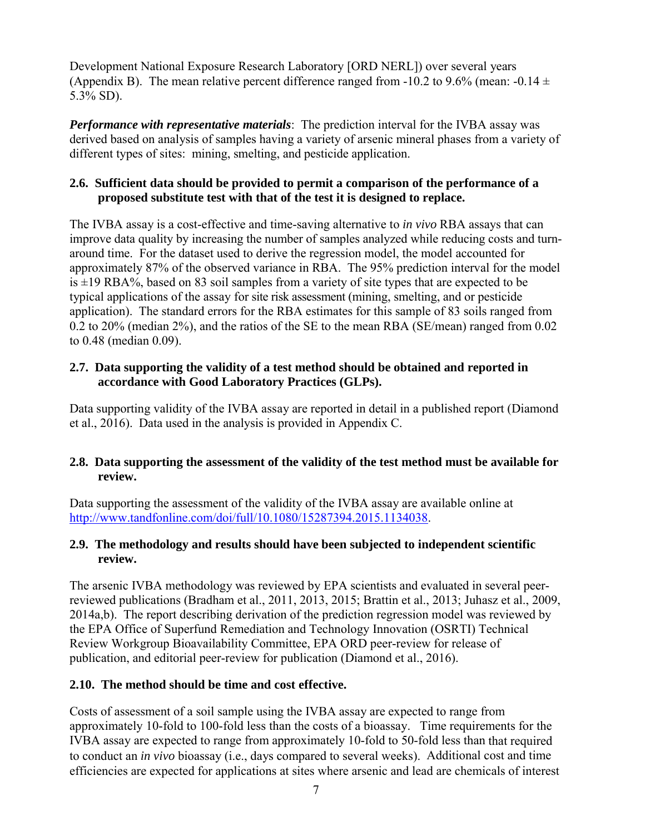Development National Exposure Research Laboratory [ORD NERL]) over several years (Appendix B). The mean relative percent difference ranged from -10.2 to 9.6% (mean: -0.14  $\pm$ 5.3% SD).

 *Performance with representative materials*: The prediction interval for the IVBA assay was derived based on analysis of samples having a variety of arsenic mineral phases from a variety of different types of sites: mining, smelting, and pesticide application.

## **2.6. Sufficient data should be provided to permit a comparison of the performance of a proposed substitute test with that of the test it is designed to replace.**

 typical applications of the assay for site risk assessment (mining, smelting, and or pesticide The IVBA assay is a cost-effective and time-saving alternative to *in vivo* RBA assays that can improve data quality by increasing the number of samples analyzed while reducing costs and turnaround time. For the dataset used to derive the regression model, the model accounted for approximately 87% of the observed variance in RBA. The 95% prediction interval for the model is  $\pm$ 19 RBA%, based on 83 soil samples from a variety of site types that are expected to be application). The standard errors for the RBA estimates for this sample of 83 soils ranged from 0.2 to 20% (median 2%), and the ratios of the SE to the mean RBA (SE/mean) ranged from 0.02 to 0.48 (median 0.09).

### **2.7. Data supporting the validity of a test method should be obtained and reported in accordance with Good Laboratory Practices (GLPs).**

Data supporting validity of the IVBA assay are reported in detail in a published report (Diamond et al., 2016). Data used in the analysis is provided in Appendix C.

## **2.8. Data supporting the assessment of the validity of the test method must be available for review.**

Data supporting the assessment of the validity of the IVBA assay are available online at http://www.tandfonline.com/doi/full/10.1080/15287394.2015.1134038.

## **2.9. The methodology and results should have been subjected to independent scientific review.**

The arsenic IVBA methodology was reviewed by EPA scientists and evaluated in several peerreviewed publications (Bradham et al., 2011, 2013, 2015; Brattin et al., 2013; Juhasz et al., 2009, 2014a,b). The report describing derivation of the prediction regression model was reviewed by the EPA Office of Superfund Remediation and Technology Innovation (OSRTI) Technical Review Workgroup Bioavailability Committee, EPA ORD peer-review for release of publication, and editorial peer-review for publication (Diamond et al., 2016).

## **2.10. The method should be time and cost effective.**

 Costs of assessment of a soil sample using the IVBA assay are expected to range from approximately 10-fold to 100-fold less than the costs of a bioassay. Time requirements for the IVBA assay are expected to range from approximately 10-fold to 50-fold less than that required to conduct an *in vivo* bioassay (i.e., days compared to several weeks). Additional cost and time efficiencies are expected for applications at sites where arsenic and lead are chemicals of interest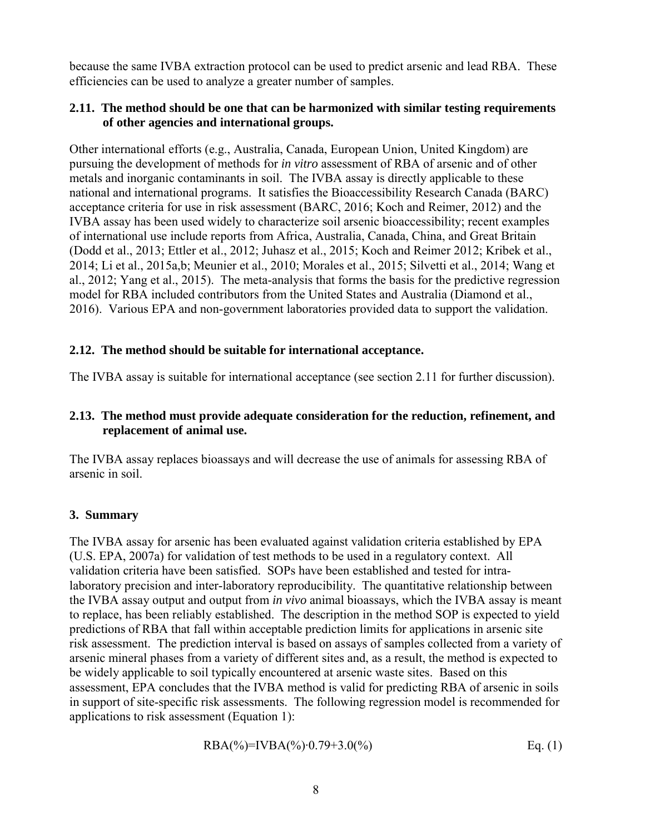because the same IVBA extraction protocol can be used to predict arsenic and lead RBA. These efficiencies can be used to analyze a greater number of samples.

#### **2.11. The method should be one that can be harmonized with similar testing requirements of other agencies and international groups.**

 pursuing the development of methods for *in vitro* assessment of RBA of arsenic and of other Other international efforts (e.g., Australia, Canada, European Union, United Kingdom) are metals and inorganic contaminants in soil. The IVBA assay is directly applicable to these national and international programs. It satisfies the Bioaccessibility Research Canada (BARC) acceptance criteria for use in risk assessment (BARC, 2016; Koch and Reimer, 2012) and the IVBA assay has been used widely to characterize soil arsenic bioaccessibility; recent examples of international use include reports from Africa, Australia, Canada, China, and Great Britain (Dodd et al., 2013; Ettler et al., 2012; Juhasz et al., 2015; Koch and Reimer 2012; Kribek et al., 2014; Li et al., 2015a,b; Meunier et al., 2010; Morales et al., 2015; Silvetti et al., 2014; Wang et al., 2012; Yang et al., 2015). The meta-analysis that forms the basis for the predictive regression model for RBA included contributors from the United States and Australia (Diamond et al., 2016). Various EPA and non-government laboratories provided data to support the validation.

## **2.12. The method should be suitable for international acceptance.**

The IVBA assay is suitable for international acceptance (see section 2.11 for further discussion).

#### **2.13. The method must provide adequate consideration for the reduction, refinement, and replacement of animal use.**

The IVBA assay replaces bioassays and will decrease the use of animals for assessing RBA of arsenic in soil.

## **3. Summary**

 be widely applicable to soil typically encountered at arsenic waste sites. Based on this The IVBA assay for arsenic has been evaluated against validation criteria established by EPA (U.S. EPA, 2007a) for validation of test methods to be used in a regulatory context. All validation criteria have been satisfied. SOPs have been established and tested for intralaboratory precision and inter-laboratory reproducibility. The quantitative relationship between the IVBA assay output and output from *in vivo* animal bioassays, which the IVBA assay is meant to replace, has been reliably established. The description in the method SOP is expected to yield predictions of RBA that fall within acceptable prediction limits for applications in arsenic site risk assessment. The prediction interval is based on assays of samples collected from a variety of arsenic mineral phases from a variety of different sites and, as a result, the method is expected to assessment, EPA concludes that the IVBA method is valid for predicting RBA of arsenic in soils in support of site-specific risk assessments. The following regression model is recommended for applications to risk assessment (Equation 1):

$$
RBA(\%)=IVBA(\%) \cdot 0.79+3.0(\%)
$$
 Eq. (1)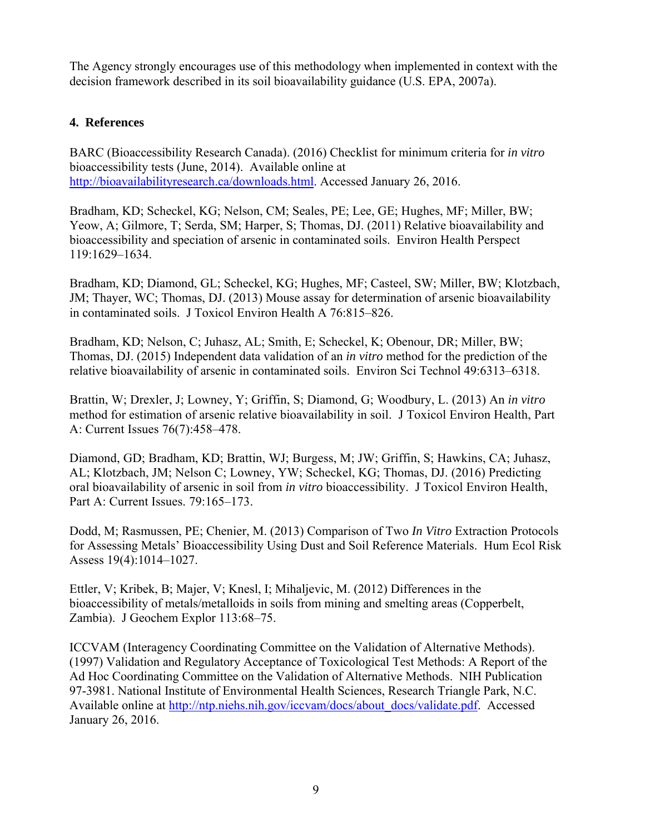The Agency strongly encourages use of this methodology when implemented in context with the decision framework described in its soil bioavailability guidance (U.S. EPA, 2007a).

## **4. References**

BARC (Bioaccessibility Research Canada). (2016) Checklist for minimum criteria for *in vitro*  bioaccessibility tests (June, 2014). Available online at http://bioavailabilityresearch.ca/downloads.html. Accessed January 26, 2016.

Bradham, KD; Scheckel, KG; Nelson, CM; Seales, PE; Lee, GE; Hughes, MF; Miller, BW; Yeow, A; Gilmore, T; Serda, SM; Harper, S; Thomas, DJ. (2011) Relative bioavailability and bioaccessibility and speciation of arsenic in contaminated soils. Environ Health Perspect 119:1629–1634.

Bradham, KD; Diamond, GL; Scheckel, KG; Hughes, MF; Casteel, SW; Miller, BW; Klotzbach, JM; Thayer, WC; Thomas, DJ. (2013) Mouse assay for determination of arsenic bioavailability in contaminated soils. J Toxicol Environ Health A 76:815–826.

Bradham, KD; Nelson, C; Juhasz, AL; Smith, E; Scheckel, K; Obenour, DR; Miller, BW; Thomas, DJ. (2015) Independent data validation of an *in vitro* method for the prediction of the relative bioavailability of arsenic in contaminated soils. Environ Sci Technol 49:6313–6318.

Brattin, W; Drexler, J; Lowney, Y; Griffin, S; Diamond, G; Woodbury, L. (2013) An *in vitro*  method for estimation of arsenic relative bioavailability in soil. J Toxicol Environ Health, Part A: Current Issues 76(7):458–478.

Diamond, GD; Bradham, KD; Brattin, WJ; Burgess, M; JW; Griffin, S; Hawkins, CA; Juhasz, AL; Klotzbach, JM; Nelson C; Lowney, YW; Scheckel, KG; Thomas, DJ. (2016) Predicting oral bioavailability of arsenic in soil from *in vitro* bioaccessibility. J Toxicol Environ Health, Part A: Current Issues. 79:165–173.

Dodd, M; Rasmussen, PE; Chenier, M. (2013) Comparison of Two *In Vitro* Extraction Protocols for Assessing Metals' Bioaccessibility Using Dust and Soil Reference Materials. Hum Ecol Risk Assess 19(4):1014–1027.

Ettler, V; Kribek, B; Majer, V; Knesl, I; Mihaljevic, M. (2012) Differences in the bioaccessibility of metals/metalloids in soils from mining and smelting areas (Copperbelt, Zambia). J Geochem Explor 113:68–75.

ICCVAM (Interagency Coordinating Committee on the Validation of Alternative Methods). (1997) Validation and Regulatory Acceptance of Toxicological Test Methods: A Report of the Ad Hoc Coordinating Committee on the Validation of Alternative Methods. NIH Publication 97-3981. National Institute of Environmental Health Sciences, Research Triangle Park, N.C. Available online at http://ntp.niehs.nih.gov/iccvam/docs/about\_docs/validate.pdf. Accessed January 26, 2016.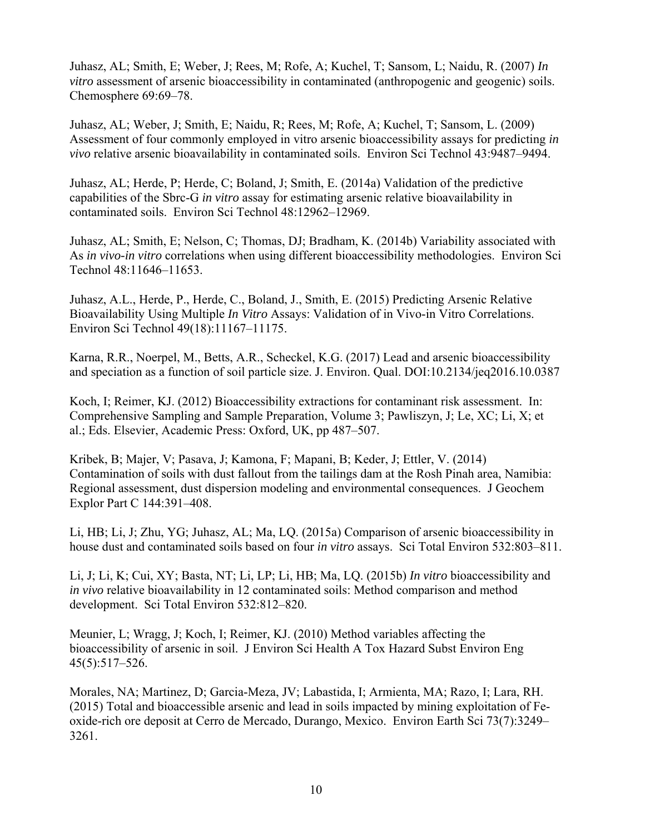Juhasz, AL; Smith, E; Weber, J; Rees, M; Rofe, A; Kuchel, T; Sansom, L; Naidu, R. (2007) *In vitro* assessment of arsenic bioaccessibility in contaminated (anthropogenic and geogenic) soils. Chemosphere 69:69–78.

Juhasz, AL; Weber, J; Smith, E; Naidu, R; Rees, M; Rofe, A; Kuchel, T; Sansom, L. (2009) Assessment of four commonly employed in vitro arsenic bioaccessibility assays for predicting *in vivo* relative arsenic bioavailability in contaminated soils. Environ Sci Technol 43:9487–9494.

Juhasz, AL; Herde, P; Herde, C; Boland, J; Smith, E. (2014a) Validation of the predictive capabilities of the Sbrc-G *in vitro* assay for estimating arsenic relative bioavailability in contaminated soils. Environ Sci Technol 48:12962–12969.

Juhasz, AL; Smith, E; Nelson, C; Thomas, DJ; Bradham, K. (2014b) Variability associated with As *in vivo-in vitro* correlations when using different bioaccessibility methodologies. Environ Sci Technol 48:11646–11653.

Juhasz, A.L., Herde, P., Herde, C., Boland, J., Smith, E. (2015) Predicting Arsenic Relative Bioavailability Using Multiple *In Vitro* Assays: Validation of in Vivo-in Vitro Correlations. Environ Sci Technol 49(18):11167–11175.

Karna, R.R., Noerpel, M., Betts, A.R., Scheckel, K.G. (2017) Lead and arsenic bioaccessibility and speciation as a function of soil particle size. J. Environ. Qual. DOI:10.2134/jeq2016.10.0387

Koch, I; Reimer, KJ. (2012) Bioaccessibility extractions for contaminant risk assessment. In: Comprehensive Sampling and Sample Preparation, Volume 3; Pawliszyn, J; Le, XC; Li, X; et al.; Eds. Elsevier, Academic Press: Oxford, UK, pp 487–507.

Kribek, B; Majer, V; Pasava, J; Kamona, F; Mapani, B; Keder, J; Ettler, V. (2014) Contamination of soils with dust fallout from the tailings dam at the Rosh Pinah area, Namibia: Regional assessment, dust dispersion modeling and environmental consequences. J Geochem Explor Part C 144:391–408.

Li, HB; Li, J; Zhu, YG; Juhasz, AL; Ma, LQ. (2015a) Comparison of arsenic bioaccessibility in house dust and contaminated soils based on four *in vitro* assays. Sci Total Environ 532:803–811.

Li, J; Li, K; Cui, XY; Basta, NT; Li, LP; Li, HB; Ma, LQ. (2015b) *In vitro* bioaccessibility and *in vivo* relative bioavailability in 12 contaminated soils: Method comparison and method development. Sci Total Environ 532:812–820.

Meunier, L; Wragg, J; Koch, I; Reimer, KJ. (2010) Method variables affecting the bioaccessibility of arsenic in soil. J Environ Sci Health A Tox Hazard Subst Environ Eng 45(5):517–526.

Morales, NA; Martinez, D; Garcia-Meza, JV; Labastida, I; Armienta, MA; Razo, I; Lara, RH. (2015) Total and bioaccessible arsenic and lead in soils impacted by mining exploitation of Feoxide-rich ore deposit at Cerro de Mercado, Durango, Mexico. Environ Earth Sci 73(7):3249– 3261.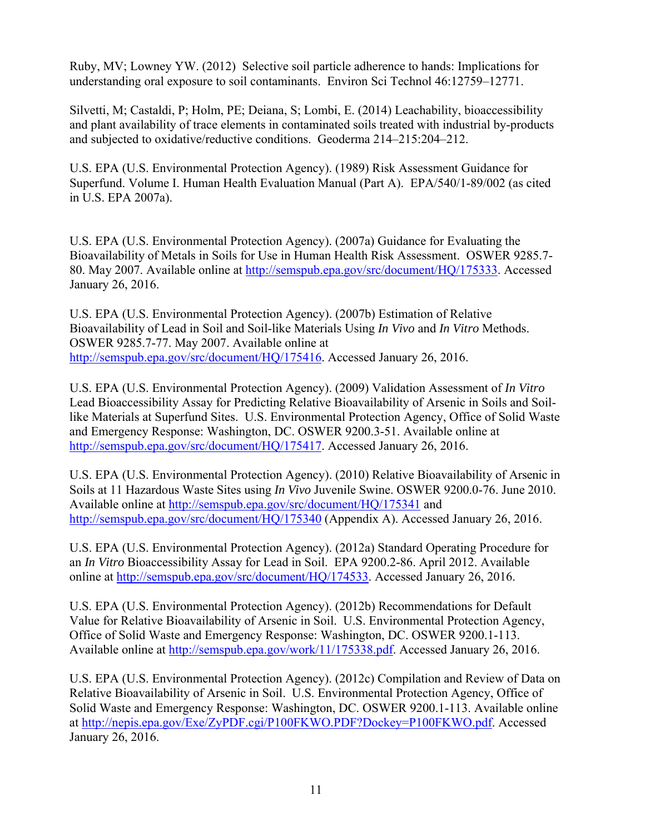Ruby, MV; Lowney YW. (2012) Selective soil particle adherence to hands: Implications for understanding oral exposure to soil contaminants. Environ Sci Technol 46:12759–12771.

Silvetti, M; Castaldi, P; Holm, PE; Deiana, S; Lombi, E. (2014) Leachability, bioaccessibility and plant availability of trace elements in contaminated soils treated with industrial by-products and subjected to oxidative/reductive conditions. Geoderma 214–215:204–212.

U.S. EPA (U.S. Environmental Protection Agency). (1989) Risk Assessment Guidance for Superfund. Volume I. Human Health Evaluation Manual (Part A). EPA/540/1-89/002 (as cited in U.S. EPA 2007a).

U.S. EPA (U.S. Environmental Protection Agency). (2007a) Guidance for Evaluating the Bioavailability of Metals in Soils for Use in Human Health Risk Assessment. OSWER 9285.7 80. May 2007. Available online at http://semspub.epa.gov/src/document/HQ/175333. Accessed January 26, 2016.

U.S. EPA (U.S. Environmental Protection Agency). (2007b) Estimation of Relative Bioavailability of Lead in Soil and Soil-like Materials Using *In Vivo* and *In Vitro* Methods. OSWER 9285.7-77. May 2007. Available online at http://semspub.epa.gov/src/document/HQ/175416. Accessed January 26, 2016.

U.S. EPA (U.S. Environmental Protection Agency). (2009) Validation Assessment of *In Vitro*  Lead Bioaccessibility Assay for Predicting Relative Bioavailability of Arsenic in Soils and Soillike Materials at Superfund Sites. U.S. Environmental Protection Agency, Office of Solid Waste and Emergency Response: Washington, DC. OSWER 9200.3-51. Available online at http://semspub.epa.gov/src/document/HQ/175417. Accessed January 26, 2016.

U.S. EPA (U.S. Environmental Protection Agency). (2010) Relative Bioavailability of Arsenic in Soils at 11 Hazardous Waste Sites using *In Vivo* Juvenile Swine. OSWER 9200.0-76. June 2010. Available online at http://semspub.epa.gov/src/document/HQ/175341 and http://semspub.epa.gov/src/document/HQ/175340 (Appendix A). Accessed January 26, 2016.

U.S. EPA (U.S. Environmental Protection Agency). (2012a) Standard Operating Procedure for an *In Vitro* Bioaccessibility Assay for Lead in Soil. EPA 9200.2-86. April 2012. Available online at http://semspub.epa.gov/src/document/HQ/174533. Accessed January 26, 2016.

U.S. EPA (U.S. Environmental Protection Agency). (2012b) Recommendations for Default Value for Relative Bioavailability of Arsenic in Soil. U.S. Environmental Protection Agency, Office of Solid Waste and Emergency Response: Washington, DC. OSWER 9200.1-113. Available online at http://semspub.epa.gov/work/11/175338.pdf. Accessed January 26, 2016.

U.S. EPA (U.S. Environmental Protection Agency). (2012c) Compilation and Review of Data on Relative Bioavailability of Arsenic in Soil. U.S. Environmental Protection Agency, Office of Solid Waste and Emergency Response: Washington, DC. OSWER 9200.1-113. Available online at http://nepis.epa.gov/Exe/ZyPDF.cgi/P100FKWO.PDF?Dockey=P100FKWO.pdf. Accessed January 26, 2016.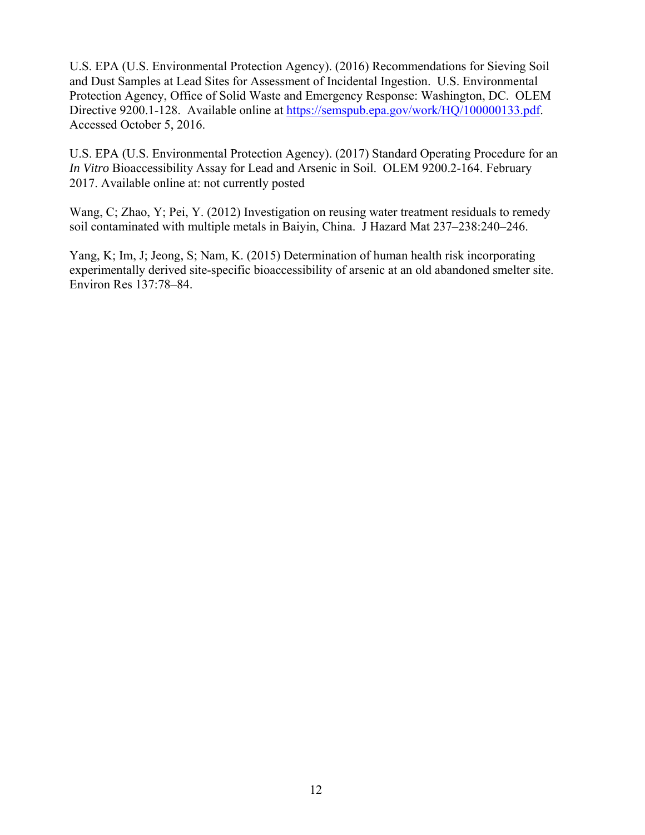U.S. EPA (U.S. Environmental Protection Agency). (2016) Recommendations for Sieving Soil and Dust Samples at Lead Sites for Assessment of Incidental Ingestion. U.S. Environmental Protection Agency, Office of Solid Waste and Emergency Response: Washington, DC. OLEM Directive 9200.1-128. Available online at https://semspub.epa.gov/work/HQ/100000133.pdf. Accessed October 5, 2016.

U.S. EPA (U.S. Environmental Protection Agency). (2017) Standard Operating Procedure for an *In Vitro* Bioaccessibility Assay for Lead and Arsenic in Soil. OLEM 9200.2-164. February 2017. Available online at: not currently posted

Wang, C; Zhao, Y; Pei, Y. (2012) Investigation on reusing water treatment residuals to remedy soil contaminated with multiple metals in Baiyin, China. J Hazard Mat 237–238:240–246.

Yang, K; Im, J; Jeong, S; Nam, K. (2015) Determination of human health risk incorporating experimentally derived site-specific bioaccessibility of arsenic at an old abandoned smelter site. Environ Res 137:78–84.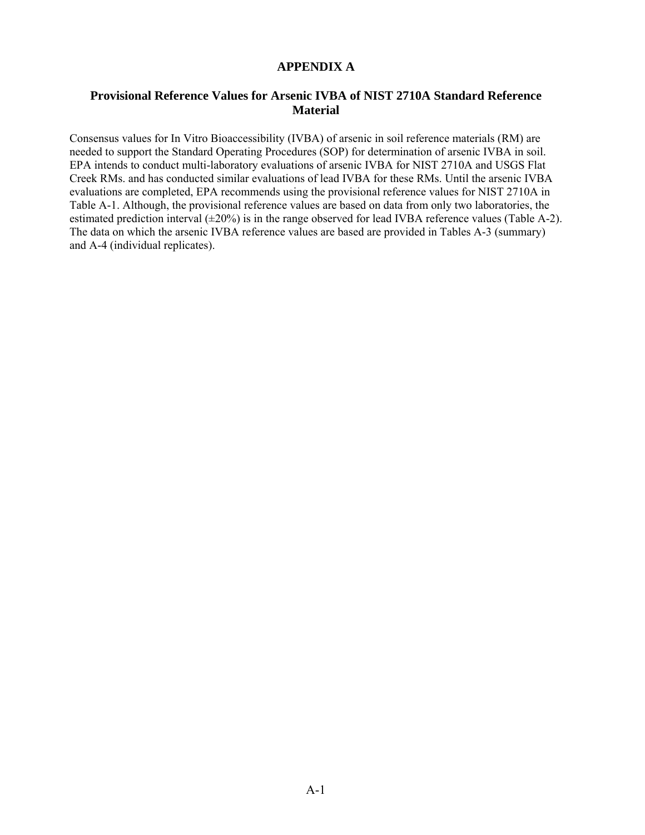#### **APPENDIX A**

#### **Provisional Reference Values for Arsenic IVBA of NIST 2710A Standard Reference Material**

Consensus values for In Vitro Bioaccessibility (IVBA) of arsenic in soil reference materials (RM) are needed to support the Standard Operating Procedures (SOP) for determination of arsenic IVBA in soil. EPA intends to conduct multi-laboratory evaluations of arsenic IVBA for NIST 2710A and USGS Flat Creek RMs. and has conducted similar evaluations of lead IVBA for these RMs. Until the arsenic IVBA evaluations are completed, EPA recommends using the provisional reference values for NIST 2710A in Table A-1. Although, the provisional reference values are based on data from only two laboratories, the estimated prediction interval (±20%) is in the range observed for lead IVBA reference values (Table A-2). The data on which the arsenic IVBA reference values are based are provided in Tables A-3 (summary) and A-4 (individual replicates).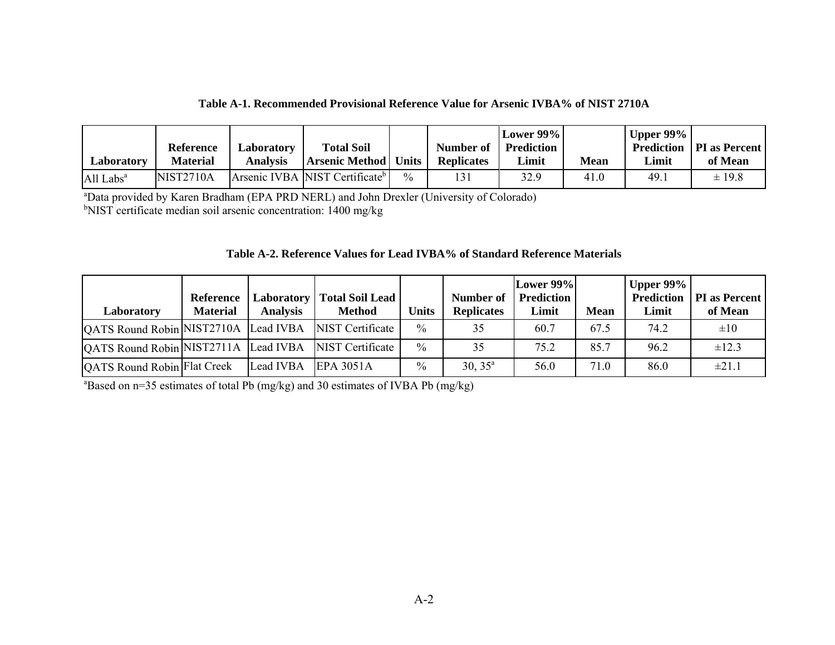| Table A-1. Recommended Provisional Reference Value for Arsenic IVBA% of NIST 2710A |  |  |  |  |  |  |  |  |
|------------------------------------------------------------------------------------|--|--|--|--|--|--|--|--|
|------------------------------------------------------------------------------------|--|--|--|--|--|--|--|--|

| Laboratory            | <b>Reference</b><br><b>Material</b> | Laboratory<br><b>Analysis</b> | <b>Total Soil</b><br><b>Arsenic Method   Units</b> |               | Number of<br><b>Replicates</b> | Lower 99%<br>Prediction<br>Limit | Mean | Upper $99\%$<br>Limit | <b>Prediction   PI as Percent  </b><br>of Mean |
|-----------------------|-------------------------------------|-------------------------------|----------------------------------------------------|---------------|--------------------------------|----------------------------------|------|-----------------------|------------------------------------------------|
| All Labs <sup>a</sup> | NIST2710A                           |                               | Arsenic IVBA NIST Certificate <sup>b</sup>         | $\frac{0}{0}$ | 131                            | 32.9                             | 41.0 | 49.                   | $\pm$ 19.8                                     |

aData provided by Karen Bradham (EPA PRD NERL) and John Drexler (University of Colorado) <sup>b</sup>NIST certificate median soil arsenic concentration: 1400 mg/kg

|  |  | Table A-2. Reference Values for Lead IVBA% of Standard Reference Materials |
|--|--|----------------------------------------------------------------------------|
|--|--|----------------------------------------------------------------------------|

| Laboratory                           | Reference<br><b>Material</b> | <b>Laboratory</b><br><b>Analysis</b> | <b>Total Soil Lead</b><br><b>Method</b> | Units         | Number of<br><b>Replicates</b> | Lower $99\%$<br>Prediction<br>Limit | <b>Mean</b> | Upper 99%<br>Prediction<br>Limit | <b>PI</b> as Percent<br>of Mean |
|--------------------------------------|------------------------------|--------------------------------------|-----------------------------------------|---------------|--------------------------------|-------------------------------------|-------------|----------------------------------|---------------------------------|
| QATS Round Robin NIST2710A           |                              | Lead IVBA                            | <b>NIST</b> Certificate                 | $\frac{0}{0}$ | 35                             | 60.7                                | 67.5        | 74.2                             | $\pm 10$                        |
| QATS Round Robin NIST2711A Lead IVBA |                              |                                      | <b>NIST</b> Certificate                 | $\frac{0}{0}$ | 35                             | 75.2                                | 85.7        | 96.2                             | $\pm 12.3$                      |
| QATS Round Robin Flat Creek          |                              | Lead IVBA                            | <b>EPA 3051A</b>                        | $\frac{0}{0}$ | $30, 35^{\circ}$               | 56.0                                | 71.0        | 86.0                             | ±21.1                           |

 $a_{\text{Based on n=35}$  estimates of total Pb (mg/kg) and 30 estimates of IVBA Pb (mg/kg)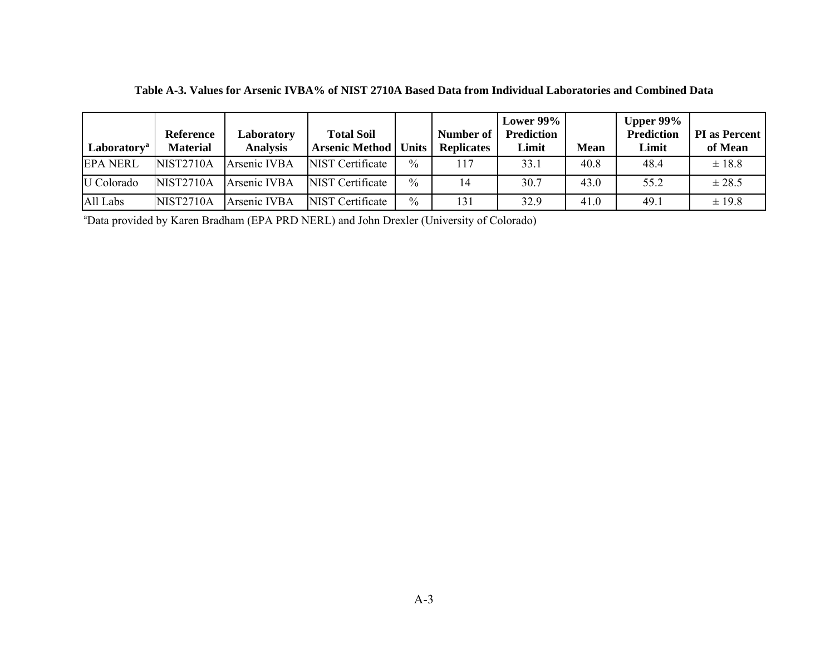| Laboratory <sup>a</sup> | Reference<br><b>Material</b> | Laboratory<br><b>Analysis</b> | <b>Total Soil</b><br><b>Arsenic Method</b> | <b>Units</b>  | Number of<br><b>Replicates</b> | Lower $99\%$<br><b>Prediction</b><br>Limit | Mean | Upper $99\%$<br><b>Prediction</b><br>Limit | <b>PI</b> as Percent<br>of Mean |
|-------------------------|------------------------------|-------------------------------|--------------------------------------------|---------------|--------------------------------|--------------------------------------------|------|--------------------------------------------|---------------------------------|
| <b>EPA NERL</b>         | <b>NIST2710A</b>             | Arsenic IVBA                  | <b>NIST</b> Certificate                    | $\frac{0}{0}$ | 117                            | 33.1                                       | 40.8 | 48.4                                       | $±$ 18.8                        |
| U Colorado              | NIST2710A                    | Arsenic IVBA                  | <b>NIST</b> Certificate                    | $\frac{0}{0}$ | 14                             | 30.7                                       | 43.0 | 55.2                                       | ± 28.5                          |
| All Labs                | <b>NIST2710A</b>             | Arsenic IVBA                  | <b>NIST Certificate</b>                    | $\frac{0}{0}$ | 131                            | 32.9                                       | 41.0 | 49.1                                       | $\pm$ 19.8                      |

**Table A-3. Values for Arsenic IVBA% of NIST 2710A Based Data from Individual Laboratories and Combined Data** 

aData provided by Karen Bradham (EPA PRD NERL) and John Drexler (University of Colorado)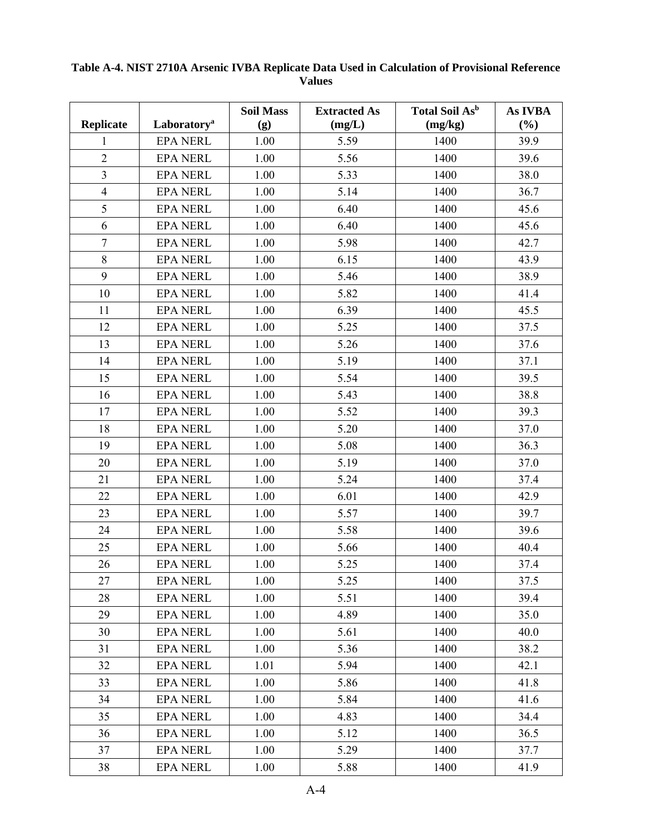| <b>Replicate</b> | Laboratory <sup>a</sup> | <b>Soil Mass</b><br>(g) | <b>Extracted As</b><br>(mg/L) | Total Soil As <sup>b</sup><br>(mg/kg) | As IVBA<br>(%) |
|------------------|-------------------------|-------------------------|-------------------------------|---------------------------------------|----------------|
| 1                | <b>EPA NERL</b>         | 1.00                    | 5.59                          | 1400                                  | 39.9           |
| $\overline{2}$   | <b>EPA NERL</b>         | 1.00                    | 5.56                          | 1400                                  | 39.6           |
| $\overline{3}$   | <b>EPA NERL</b>         | 1.00                    | 5.33                          | 1400                                  | 38.0           |
| $\overline{4}$   | <b>EPA NERL</b>         | 1.00                    | 5.14                          | 1400                                  | 36.7           |
| 5                | <b>EPA NERL</b>         | 1.00                    | 6.40                          | 1400                                  | 45.6           |
| 6                | <b>EPA NERL</b>         | 1.00                    | 6.40                          | 1400                                  | 45.6           |
| $\overline{7}$   | <b>EPA NERL</b>         | 1.00                    | 5.98                          | 1400                                  | 42.7           |
| $8\,$            | <b>EPA NERL</b>         | 1.00                    | 6.15                          | 1400                                  | 43.9           |
| 9                | <b>EPA NERL</b>         | 1.00                    | 5.46                          | 1400                                  | 38.9           |
| 10               | <b>EPA NERL</b>         | 1.00                    | 5.82                          | 1400                                  | 41.4           |
| 11               | <b>EPA NERL</b>         | 1.00                    | 6.39                          | 1400                                  | 45.5           |
| 12               | <b>EPA NERL</b>         | 1.00                    | 5.25                          | 1400                                  | 37.5           |
| 13               | <b>EPA NERL</b>         | 1.00                    | 5.26                          | 1400                                  | 37.6           |
| 14               | <b>EPA NERL</b>         | 1.00                    | 5.19                          | 1400                                  | 37.1           |
| 15               | <b>EPA NERL</b>         | 1.00                    | 5.54                          | 1400                                  | 39.5           |
| 16               | <b>EPA NERL</b>         | 1.00                    | 5.43                          | 1400                                  | 38.8           |
| 17               | <b>EPA NERL</b>         | 1.00                    | 5.52                          | 1400                                  | 39.3           |
| 18               | <b>EPA NERL</b>         | 1.00                    | 5.20                          | 1400                                  | 37.0           |
| 19               | <b>EPA NERL</b>         | 1.00                    | 5.08                          | 1400                                  | 36.3           |
| 20               | <b>EPA NERL</b>         | 1.00                    | 5.19                          | 1400                                  | 37.0           |
| 21               | <b>EPA NERL</b>         | 1.00                    | 5.24                          | 1400                                  | 37.4           |
| 22               | <b>EPA NERL</b>         | 1.00                    | 6.01                          | 1400                                  | 42.9           |
| 23               | <b>EPA NERL</b>         | 1.00                    | 5.57                          | 1400                                  | 39.7           |
| 24               | <b>EPA NERL</b>         | 1.00                    | 5.58                          | 1400                                  | 39.6           |
| 25               | <b>EPA NERL</b>         | 1.00                    | 5.66                          | 1400                                  | 40.4           |
| 26               | <b>EPA NERL</b>         | 1.00                    | 5.25                          | 1400                                  | 37.4           |
| 27               | <b>EPA NERL</b>         | 1.00                    | 5.25                          | 1400                                  | 37.5           |
| 28               | <b>EPA NERL</b>         | 1.00                    | 5.51                          | 1400                                  | 39.4           |
| 29               | <b>EPA NERL</b>         | 1.00                    | 4.89                          | 1400                                  | 35.0           |
| 30               | <b>EPA NERL</b>         | 1.00                    | 5.61                          | 1400                                  | 40.0           |
| 31               | <b>EPA NERL</b>         | 1.00                    | 5.36                          | 1400                                  | 38.2           |
| 32               | <b>EPA NERL</b>         | 1.01                    | 5.94                          | 1400                                  | 42.1           |
| 33               | <b>EPA NERL</b>         | 1.00                    | 5.86                          | 1400                                  | 41.8           |
| 34               | <b>EPA NERL</b>         | 1.00                    | 5.84                          | 1400                                  | 41.6           |
| 35               | <b>EPA NERL</b>         | 1.00                    | 4.83                          | 1400                                  | 34.4           |
| 36               | <b>EPA NERL</b>         | 1.00                    | 5.12                          | 1400                                  | 36.5           |
| 37               | <b>EPA NERL</b>         | 1.00                    | 5.29                          | 1400                                  | 37.7           |
| 38               | <b>EPA NERL</b>         | 1.00                    | 5.88                          | 1400                                  | 41.9           |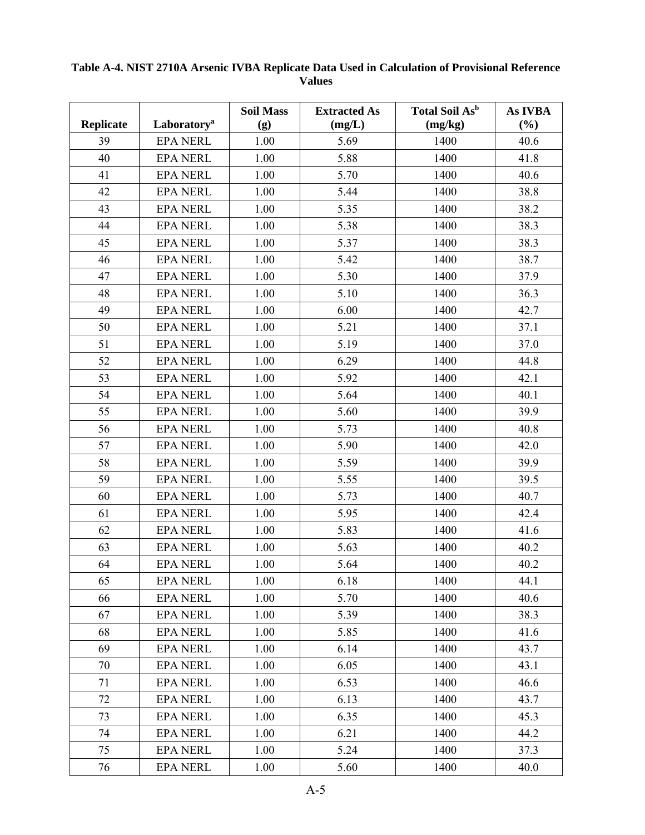| <b>Replicate</b> | Laboratory <sup>a</sup> | <b>Soil Mass</b><br>(g) | <b>Extracted As</b><br>(mg/L) | <b>Total Soil As</b> <sup>b</sup><br>(mg/kg) | As IVBA<br>(%) |
|------------------|-------------------------|-------------------------|-------------------------------|----------------------------------------------|----------------|
| 39               | <b>EPA NERL</b>         | 1.00                    | 5.69                          | 1400                                         | 40.6           |
| 40               | <b>EPA NERL</b>         | 1.00                    | 5.88                          | 1400                                         | 41.8           |
| 41               | <b>EPA NERL</b>         | 1.00                    | 5.70                          | 1400                                         | 40.6           |
| 42               | <b>EPA NERL</b>         | 1.00                    | 5.44                          | 1400                                         | 38.8           |
| 43               | <b>EPA NERL</b>         | 1.00                    | 5.35                          | 1400                                         | 38.2           |
| 44               | <b>EPA NERL</b>         | 1.00                    | 5.38                          | 1400                                         | 38.3           |
| 45               | <b>EPA NERL</b>         | 1.00                    | 5.37                          | 1400                                         | 38.3           |
| 46               | <b>EPA NERL</b>         | 1.00                    | 5.42                          | 1400                                         | 38.7           |
| 47               | <b>EPA NERL</b>         | 1.00                    | 5.30                          | 1400                                         | 37.9           |
| 48               | <b>EPA NERL</b>         | 1.00                    | 5.10                          | 1400                                         | 36.3           |
| 49               | <b>EPA NERL</b>         | 1.00                    | 6.00                          | 1400                                         | 42.7           |
| 50               | <b>EPA NERL</b>         | 1.00                    | 5.21                          | 1400                                         | 37.1           |
| 51               | <b>EPA NERL</b>         | 1.00                    | 5.19                          | 1400                                         | 37.0           |
| 52               | <b>EPA NERL</b>         | 1.00                    | 6.29                          | 1400                                         | 44.8           |
| 53               | <b>EPA NERL</b>         | 1.00                    | 5.92                          | 1400                                         | 42.1           |
| 54               | <b>EPA NERL</b>         | 1.00                    | 5.64                          | 1400                                         | 40.1           |
| 55               | <b>EPA NERL</b>         | 1.00                    | 5.60                          | 1400                                         | 39.9           |
| 56               | <b>EPA NERL</b>         | 1.00                    | 5.73                          | 1400                                         | 40.8           |
| 57               | <b>EPA NERL</b>         | 1.00                    | 5.90                          | 1400                                         | 42.0           |
| 58               | <b>EPA NERL</b>         | 1.00                    | 5.59                          | 1400                                         | 39.9           |
| 59               | <b>EPA NERL</b>         | 1.00                    | 5.55                          | 1400                                         | 39.5           |
| 60               | <b>EPA NERL</b>         | 1.00                    | 5.73                          | 1400                                         | 40.7           |
| 61               | <b>EPA NERL</b>         | 1.00                    | 5.95                          | 1400                                         | 42.4           |
| 62               | <b>EPA NERL</b>         | 1.00                    | 5.83                          | 1400                                         | 41.6           |
| 63               | <b>EPA NERL</b>         | 1.00                    | 5.63                          | 1400                                         | 40.2           |
| 64               | <b>EPA NERL</b>         | 1.00                    | 5.64                          | 1400                                         | 40.2           |
| 65               | <b>EPA NERL</b>         | 1.00                    | 6.18                          | 1400                                         | 44.1           |
| 66               | <b>EPA NERL</b>         | 1.00                    | 5.70                          | 1400                                         | 40.6           |
| 67               | <b>EPA NERL</b>         | 1.00                    | 5.39                          | 1400                                         | 38.3           |
| 68               | <b>EPA NERL</b>         | 1.00                    | 5.85                          | 1400                                         | 41.6           |
| 69               | <b>EPA NERL</b>         | 1.00                    | 6.14                          | 1400                                         | 43.7           |
| 70               | <b>EPA NERL</b>         | 1.00                    | 6.05                          | 1400                                         | 43.1           |
| 71               | <b>EPA NERL</b>         | 1.00                    | 6.53                          | 1400                                         | 46.6           |
| 72               | <b>EPA NERL</b>         | 1.00                    | 6.13                          | 1400                                         | 43.7           |
| 73               | <b>EPA NERL</b>         | 1.00                    | 6.35                          | 1400                                         | 45.3           |
| 74               | <b>EPA NERL</b>         | 1.00                    | 6.21                          | 1400                                         | 44.2           |
| 75               | <b>EPA NERL</b>         | 1.00                    | 5.24                          | 1400                                         | 37.3           |
| 76               | <b>EPA NERL</b>         | 1.00                    | 5.60                          | 1400                                         | 40.0           |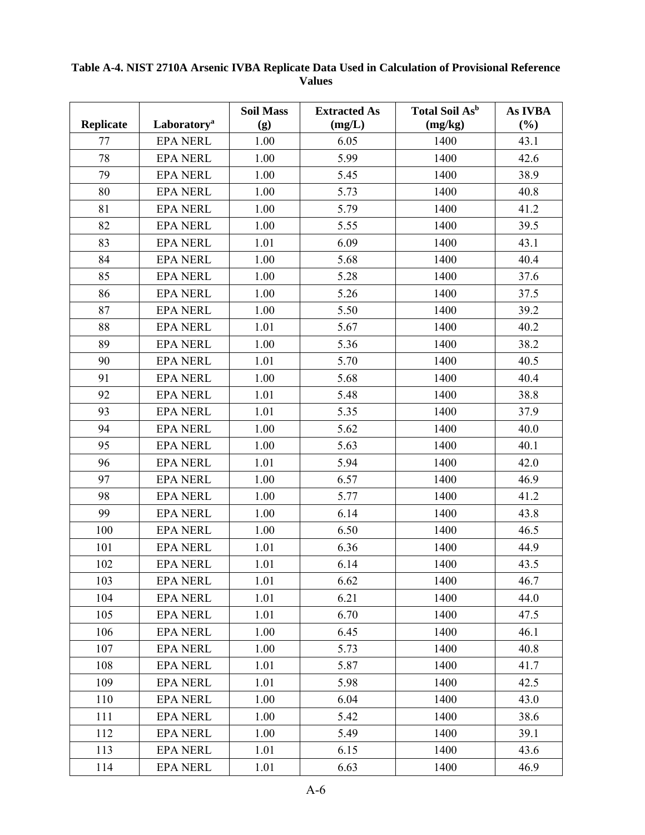| <b>Replicate</b> | Laboratory <sup>a</sup> | <b>Soil Mass</b><br>(g) | <b>Extracted As</b><br>(mg/L) | Total Soil As <sup>b</sup><br>(mg/kg) | As IVBA<br>(%) |
|------------------|-------------------------|-------------------------|-------------------------------|---------------------------------------|----------------|
| 77               | <b>EPA NERL</b>         | 1.00                    | 6.05                          | 1400                                  | 43.1           |
| 78               | <b>EPA NERL</b>         | 1.00                    | 5.99                          | 1400                                  | 42.6           |
| 79               | <b>EPA NERL</b>         | 1.00                    | 5.45                          | 1400                                  | 38.9           |
| 80               | <b>EPA NERL</b>         | 1.00                    | 5.73                          | 1400                                  | 40.8           |
| 81               | <b>EPA NERL</b>         | 1.00                    | 5.79                          | 1400                                  | 41.2           |
| 82               | <b>EPA NERL</b>         | 1.00                    | 5.55                          | 1400                                  | 39.5           |
| 83               | <b>EPA NERL</b>         | 1.01                    | 6.09                          | 1400                                  | 43.1           |
| 84               | <b>EPA NERL</b>         | 1.00                    | 5.68                          | 1400                                  | 40.4           |
| 85               | <b>EPA NERL</b>         | 1.00                    | 5.28                          | 1400                                  | 37.6           |
| 86               | <b>EPA NERL</b>         | 1.00                    | 5.26                          | 1400                                  | 37.5           |
| 87               | <b>EPA NERL</b>         | 1.00                    | 5.50                          | 1400                                  | 39.2           |
| 88               | <b>EPA NERL</b>         | 1.01                    | 5.67                          | 1400                                  | 40.2           |
| 89               | <b>EPA NERL</b>         | 1.00                    | 5.36                          | 1400                                  | 38.2           |
| 90               | <b>EPA NERL</b>         | 1.01                    | 5.70                          | 1400                                  | 40.5           |
| 91               | <b>EPA NERL</b>         | 1.00                    | 5.68                          | 1400                                  | 40.4           |
| 92               | <b>EPA NERL</b>         | 1.01                    | 5.48                          | 1400                                  | 38.8           |
| 93               | <b>EPA NERL</b>         | 1.01                    | 5.35                          | 1400                                  | 37.9           |
| 94               | <b>EPA NERL</b>         | 1.00                    | 5.62                          | 1400                                  | 40.0           |
| 95               | <b>EPA NERL</b>         | 1.00                    | 5.63                          | 1400                                  | 40.1           |
| 96               | <b>EPA NERL</b>         | 1.01                    | 5.94                          | 1400                                  | 42.0           |
| 97               | <b>EPA NERL</b>         | 1.00                    | 6.57                          | 1400                                  | 46.9           |
| 98               | <b>EPA NERL</b>         | 1.00                    | 5.77                          | 1400                                  | 41.2           |
| 99               | <b>EPA NERL</b>         | 1.00                    | 6.14                          | 1400                                  | 43.8           |
| 100              | <b>EPA NERL</b>         | 1.00                    | 6.50                          | 1400                                  | 46.5           |
| 101              | <b>EPA NERL</b>         | 1.01                    | 6.36                          | 1400                                  | 44.9           |
| 102              | <b>EPA NERL</b>         | 1.01                    | 6.14                          | 1400                                  | 43.5           |
| 103              | <b>EPA NERL</b>         | 1.01                    | 6.62                          | 1400                                  | 46.7           |
| 104              | <b>EPA NERL</b>         | 1.01                    | 6.21                          | 1400                                  | 44.0           |
| 105              | <b>EPA NERL</b>         | 1.01                    | 6.70                          | 1400                                  | 47.5           |
| 106              | <b>EPA NERL</b>         | 1.00                    | 6.45                          | 1400                                  | 46.1           |
| 107              | <b>EPA NERL</b>         | 1.00                    | 5.73                          | 1400                                  | 40.8           |
| 108              | <b>EPA NERL</b>         | 1.01                    | 5.87                          | 1400                                  | 41.7           |
| 109              | <b>EPA NERL</b>         | 1.01                    | 5.98                          | 1400                                  | 42.5           |
| 110              | <b>EPA NERL</b>         | 1.00                    | 6.04                          | 1400                                  | 43.0           |
| 111              | <b>EPA NERL</b>         | 1.00                    | 5.42                          | 1400                                  | 38.6           |
| 112              | <b>EPA NERL</b>         | 1.00                    | 5.49                          | 1400                                  | 39.1           |
| 113              | <b>EPA NERL</b>         | 1.01                    | 6.15                          | 1400                                  | 43.6           |
| 114              | <b>EPA NERL</b>         | 1.01                    | 6.63                          | 1400                                  | 46.9           |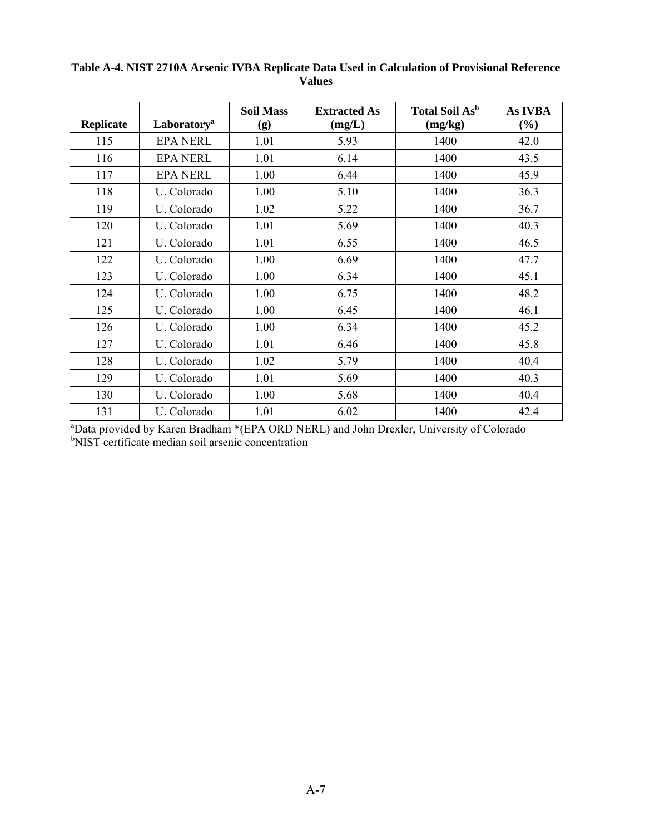| <b>Replicate</b> | Laboratory <sup>a</sup> | <b>Soil Mass</b><br>(g) | <b>Extracted As</b><br>(mg/L) | <b>Total Soil As</b> <sup>b</sup><br>(mg/kg) | <b>As IVBA</b><br>$(\%)$ |
|------------------|-------------------------|-------------------------|-------------------------------|----------------------------------------------|--------------------------|
| 115              | <b>EPA NERL</b>         | 1.01                    | 5.93                          | 1400                                         | 42.0                     |
| 116              | <b>EPA NERL</b>         | 1.01                    | 6.14                          | 1400                                         | 43.5                     |
| 117              | <b>EPA NERL</b>         | 1.00                    | 6.44                          | 1400                                         | 45.9                     |
| 118              | U. Colorado             | 1.00                    | 5.10                          | 1400                                         | 36.3                     |
| 119              | U. Colorado             | 1.02                    | 5.22                          | 1400                                         | 36.7                     |
| 120              | U. Colorado             | 1.01                    | 5.69                          | 1400                                         | 40.3                     |
| 121              | U. Colorado             | 1.01                    | 6.55                          | 1400                                         | 46.5                     |
| 122              | U. Colorado             | 1.00                    | 6.69                          | 1400                                         | 47.7                     |
| 123              | U. Colorado             | 1.00                    | 6.34                          | 1400                                         | 45.1                     |
| 124              | U. Colorado             | 1.00                    | 6.75                          | 1400                                         | 48.2                     |
| 125              | U. Colorado             | 1.00                    | 6.45                          | 1400                                         | 46.1                     |
| 126              | U. Colorado             | 1.00                    | 6.34                          | 1400                                         | 45.2                     |
| 127              | U. Colorado             | 1.01                    | 6.46                          | 1400                                         | 45.8                     |
| 128              | U. Colorado             | 1.02                    | 5.79                          | 1400                                         | 40.4                     |
| 129              | U. Colorado             | 1.01                    | 5.69                          | 1400                                         | 40.3                     |
| 130              | U. Colorado             | 1.00                    | 5.68                          | 1400                                         | 40.4                     |
| 131              | U. Colorado             | 1.01                    | 6.02                          | 1400                                         | 42.4                     |

<sup>a</sup>Data provided by Karen Bradham \*(EPA ORD NERL) and John Drexler, University of Colorado b<br><sup>b</sup>NIST certificate median soil arsenic concentration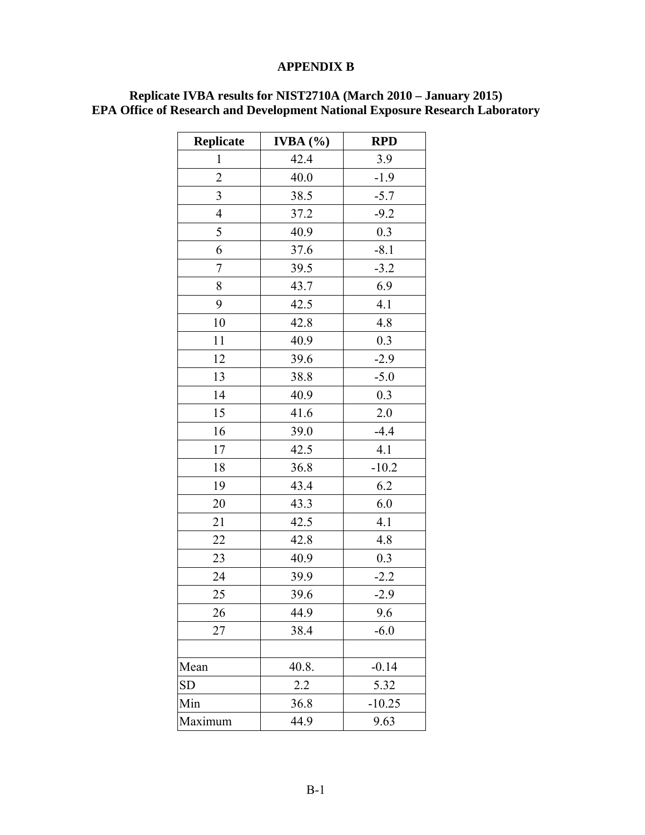### **APPENDIX B**

| <b>Replicate</b>         | IVBA $(%)$ | <b>RPD</b> |
|--------------------------|------------|------------|
| $\mathbf{1}$             | 42.4       | 3.9        |
| $\overline{c}$           | 40.0       | $-1.9$     |
| 3                        | 38.5       | $-5.7$     |
| $\overline{\mathcal{A}}$ | 37.2       | $-9.2$     |
| 5                        | 40.9       | 0.3        |
| 6                        | 37.6       | $-8.1$     |
| 7                        | 39.5       | $-3.2$     |
| 8                        | 43.7       | 6.9        |
| 9                        | 42.5       | 4.1        |
| 10                       | 42.8       | 4.8        |
| 11                       | 40.9       | 0.3        |
| 12                       | 39.6       | $-2.9$     |
| 13                       | 38.8       | $-5.0$     |
| 14                       | 40.9       | 0.3        |
| 15                       | 41.6       | 2.0        |
| 16                       | 39.0       | $-4.4$     |
| 17                       | 42.5       | 4.1        |
| 18                       | 36.8       | $-10.2$    |
| 19                       | 43.4       | 6.2        |
| 20                       | 43.3       | 6.0        |
| 21                       | 42.5       | 4.1        |
| 22                       | 42.8       | 4.8        |
| 23                       | 40.9       | 0.3        |
| 24                       | 39.9       | $-2.2$     |
| 25                       | 39.6       | $-2.9$     |
| 26                       | 44.9       | 9.6        |
| 27                       | 38.4       | $-6.0$     |
|                          |            |            |
| Mean                     | 40.8.      | $-0.14$    |
| <b>SD</b>                | 2.2        | 5.32       |
| Min                      | 36.8       | $-10.25$   |
| Maximum                  | 44.9       | 9.63       |

#### **Replicate IVBA results for NIST2710A (March 2010 – January 2015) EPA Office of Research and Development National Exposure Research Laboratory**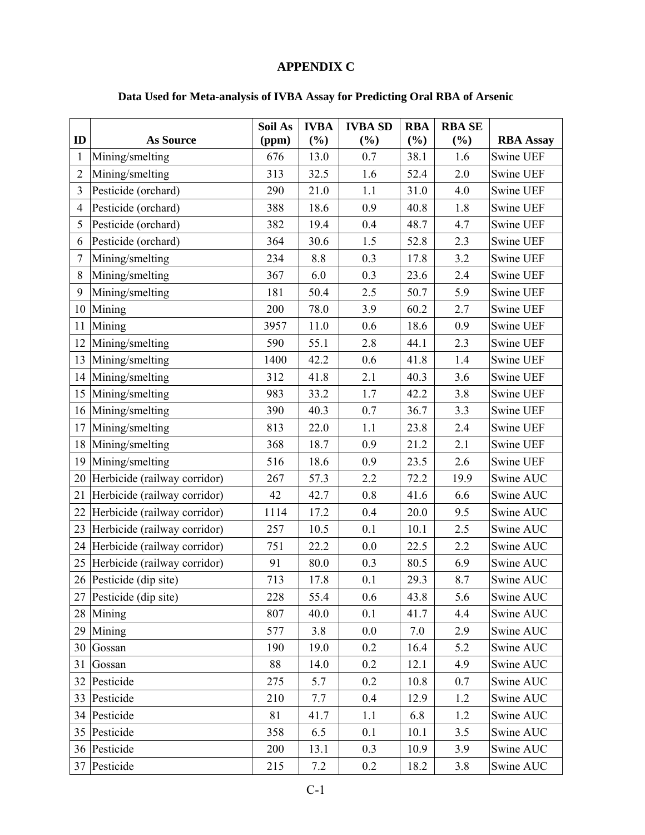# **APPENDIX C**

# **Data Used for Meta-analysis of IVBA Assay for Predicting Oral RBA of Arsenic**

|                |                                 | Soil As | <b>IVBA</b> | <b>IVBA SD</b> | <b>RBA</b> | <b>RBA SE</b> |                  |
|----------------|---------------------------------|---------|-------------|----------------|------------|---------------|------------------|
| ID             | <b>As Source</b>                | (ppm)   | $(\%)$      | $(\%)$         | (%)        | (%)           | <b>RBA Assay</b> |
| 1              | Mining/smelting                 | 676     | 13.0        | 0.7            | 38.1       | 1.6           | Swine UEF        |
| $\overline{2}$ | Mining/smelting                 | 313     | 32.5        | 1.6            | 52.4       | 2.0           | Swine UEF        |
| 3              | Pesticide (orchard)             | 290     | 21.0        | 1.1            | 31.0       | 4.0           | Swine UEF        |
| $\overline{4}$ | Pesticide (orchard)             | 388     | 18.6        | 0.9            | 40.8       | 1.8           | Swine UEF        |
| 5              | Pesticide (orchard)             | 382     | 19.4        | 0.4            | 48.7       | 4.7           | Swine UEF        |
| 6              | Pesticide (orchard)             | 364     | 30.6        | 1.5            | 52.8       | 2.3           | Swine UEF        |
| 7              | Mining/smelting                 | 234     | 8.8         | 0.3            | 17.8       | 3.2           | Swine UEF        |
| 8              | Mining/smelting                 | 367     | 6.0         | 0.3            | 23.6       | 2.4           | Swine UEF        |
| 9              | Mining/smelting                 | 181     | 50.4        | 2.5            | 50.7       | 5.9           | Swine UEF        |
|                | 10 Mining                       | 200     | 78.0        | 3.9            | 60.2       | 2.7           | Swine UEF        |
| 11             | Mining                          | 3957    | 11.0        | 0.6            | 18.6       | 0.9           | Swine UEF        |
| 12             | Mining/smelting                 | 590     | 55.1        | 2.8            | 44.1       | 2.3           | Swine UEF        |
| 13             | Mining/smelting                 | 1400    | 42.2        | 0.6            | 41.8       | 1.4           | Swine UEF        |
| 14             | Mining/smelting                 | 312     | 41.8        | 2.1            | 40.3       | 3.6           | Swine UEF        |
| 15             | Mining/smelting                 | 983     | 33.2        | 1.7            | 42.2       | 3.8           | Swine UEF        |
|                | 16 Mining/smelting              | 390     | 40.3        | 0.7            | 36.7       | 3.3           | Swine UEF        |
| 17             | Mining/smelting                 | 813     | 22.0        | 1.1            | 23.8       | 2.4           | Swine UEF        |
|                | 18 Mining/smelting              | 368     | 18.7        | 0.9            | 21.2       | 2.1           | Swine UEF        |
| 19             | Mining/smelting                 | 516     | 18.6        | 0.9            | 23.5       | 2.6           | Swine UEF        |
|                | 20 Herbicide (railway corridor) | 267     | 57.3        | 2.2            | 72.2       | 19.9          | Swine AUC        |
| 21             | Herbicide (railway corridor)    | 42      | 42.7        | 0.8            | 41.6       | 6.6           | Swine AUC        |
| 22             | Herbicide (railway corridor)    | 1114    | 17.2        | 0.4            | 20.0       | 9.5           | Swine AUC        |
|                | 23 Herbicide (railway corridor) | 257     | 10.5        | 0.1            | 10.1       | 2.5           | Swine AUC        |
| 24             | Herbicide (railway corridor)    | 751     | 22.2        | 0.0            | 22.5       | 2.2           | Swine AUC        |
|                | 25 Herbicide (railway corridor) | 91      | 80.0        | 0.3            | 80.5       | 6.9           | Swine AUC        |
|                | 26 Pesticide (dip site)         | 713     | 17.8        | 0.1            | 29.3       | 8.7           | Swine AUC        |
| 27             | Pesticide (dip site)            | 228     | 55.4        | 0.6            | 43.8       | 5.6           | Swine AUC        |
| 28             | Mining                          | 807     | 40.0        | 0.1            | 41.7       | 4.4           | Swine AUC        |
| 29             | Mining                          | 577     | 3.8         | 0.0            | 7.0        | 2.9           | Swine AUC        |
|                | 30 Gossan                       | 190     | 19.0        | 0.2            | 16.4       | 5.2           | Swine AUC        |
| 31             | Gossan                          | 88      | 14.0        | 0.2            | 12.1       | 4.9           | Swine AUC        |
|                | 32 Pesticide                    | 275     | 5.7         | 0.2            | 10.8       | 0.7           | Swine AUC        |
|                | 33 Pesticide                    | 210     | 7.7         | 0.4            | 12.9       | 1.2           | Swine AUC        |
|                | 34 Pesticide                    | 81      | 41.7        | $1.1\,$        | 6.8        | 1.2           | Swine AUC        |
| 35             | Pesticide                       | 358     | 6.5         | 0.1            | 10.1       | 3.5           | Swine AUC        |
|                | 36 Pesticide                    | 200     | 13.1        | 0.3            | 10.9       | 3.9           | Swine AUC        |
|                | 37 Pesticide                    | 215     | $7.2\,$     | 0.2            | 18.2       | 3.8           | Swine AUC        |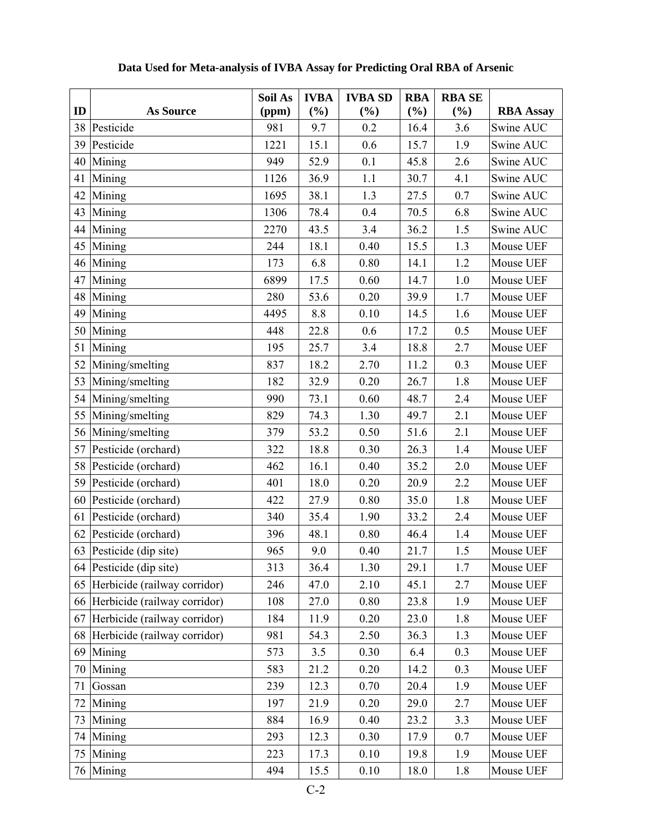|    |                                 | Soil As | <b>IVBA</b> | <b>IVBA SD</b> | <b>RBA</b> | <b>RBA SE</b> |                  |
|----|---------------------------------|---------|-------------|----------------|------------|---------------|------------------|
| ID | <b>As Source</b>                | (ppm)   | (%)         | (%)            | (%)        | (%)           | <b>RBA Assay</b> |
|    | 38 Pesticide                    | 981     | 9.7         | 0.2            | 16.4       | 3.6           | Swine AUC        |
|    | 39 Pesticide                    | 1221    | 15.1        | 0.6            | 15.7       | 1.9           | Swine AUC        |
| 40 | Mining                          | 949     | 52.9        | 0.1            | 45.8       | 2.6           | Swine AUC        |
| 41 | Mining                          | 1126    | 36.9        | 1.1            | 30.7       | 4.1           | Swine AUC        |
|    | 42 Mining                       | 1695    | 38.1        | 1.3            | 27.5       | 0.7           | Swine AUC        |
| 43 | Mining                          | 1306    | 78.4        | 0.4            | 70.5       | 6.8           | Swine AUC        |
| 44 | Mining                          | 2270    | 43.5        | 3.4            | 36.2       | 1.5           | Swine AUC        |
|    | 45 Mining                       | 244     | 18.1        | 0.40           | 15.5       | 1.3           | Mouse UEF        |
| 46 | Mining                          | 173     | 6.8         | 0.80           | 14.1       | 1.2           | Mouse UEF        |
| 47 | Mining                          | 6899    | 17.5        | 0.60           | 14.7       | $1.0\,$       | Mouse UEF        |
|    | 48 Mining                       | 280     | 53.6        | 0.20           | 39.9       | 1.7           | Mouse UEF        |
| 49 | Mining                          | 4495    | 8.8         | 0.10           | 14.5       | 1.6           | Mouse UEF        |
|    | 50 Mining                       | 448     | 22.8        | 0.6            | 17.2       | 0.5           | Mouse UEF        |
| 51 | Mining                          | 195     | 25.7        | 3.4            | 18.8       | 2.7           | Mouse UEF        |
| 52 | Mining/smelting                 | 837     | 18.2        | 2.70           | 11.2       | 0.3           | Mouse UEF        |
| 53 | Mining/smelting                 | 182     | 32.9        | 0.20           | 26.7       | 1.8           | Mouse UEF        |
|    | 54 Mining/smelting              | 990     | 73.1        | 0.60           | 48.7       | 2.4           | Mouse UEF        |
| 55 | Mining/smelting                 | 829     | 74.3        | 1.30           | 49.7       | 2.1           | Mouse UEF        |
| 56 | Mining/smelting                 | 379     | 53.2        | 0.50           | 51.6       | 2.1           | Mouse UEF        |
| 57 | Pesticide (orchard)             | 322     | 18.8        | 0.30           | 26.3       | 1.4           | Mouse UEF        |
|    | 58 Pesticide (orchard)          | 462     | 16.1        | 0.40           | 35.2       | 2.0           | Mouse UEF        |
|    | 59 Pesticide (orchard)          | 401     | 18.0        | 0.20           | 20.9       | 2.2           | Mouse UEF        |
|    | 60 Pesticide (orchard)          | 422     | 27.9        | 0.80           | 35.0       | 1.8           | Mouse UEF        |
| 61 | Pesticide (orchard)             | 340     | 35.4        | 1.90           | 33.2       | 2.4           | Mouse UEF        |
| 62 | Pesticide (orchard)             | 396     | 48.1        | 0.80           | 46.4       | 1.4           | Mouse UEF        |
|    | 63 Pesticide (dip site)         | 965     | 9.0         | 0.40           | 21.7       | 1.5           | Mouse UEF        |
|    | 64 Pesticide (dip site)         | 313     | 36.4        | 1.30           | 29.1       | 1.7           | Mouse UEF        |
|    | 65 Herbicide (railway corridor) | 246     | 47.0        | 2.10           | 45.1       | 2.7           | Mouse UEF        |
|    | 66 Herbicide (railway corridor) | 108     | 27.0        | 0.80           | 23.8       | 1.9           | Mouse UEF        |
| 67 | Herbicide (railway corridor)    | 184     | 11.9        | 0.20           | 23.0       | 1.8           | Mouse UEF        |
|    | 68 Herbicide (railway corridor) | 981     | 54.3        | 2.50           | 36.3       | 1.3           | Mouse UEF        |
| 69 | Mining                          | 573     | 3.5         | 0.30           | 6.4        | 0.3           | Mouse UEF        |
|    | 70 Mining                       | 583     | 21.2        | 0.20           | 14.2       | 0.3           | Mouse UEF        |
| 71 | Gossan                          | 239     | 12.3        | 0.70           | 20.4       | 1.9           | Mouse UEF        |
| 72 | Mining                          | 197     | 21.9        | 0.20           | 29.0       | 2.7           | Mouse UEF        |
| 73 | Mining                          | 884     | 16.9        | 0.40           | 23.2       | 3.3           | Mouse UEF        |
| 74 | Mining                          | 293     | 12.3        | 0.30           | 17.9       | 0.7           | Mouse UEF        |
| 75 | Mining                          | 223     | 17.3        | 0.10           | 19.8       | 1.9           | Mouse UEF        |
|    | 76 Mining                       | 494     | 15.5        | 0.10           | 18.0       | 1.8           | Mouse UEF        |

# **Data Used for Meta-analysis of IVBA Assay for Predicting Oral RBA of Arsenic**